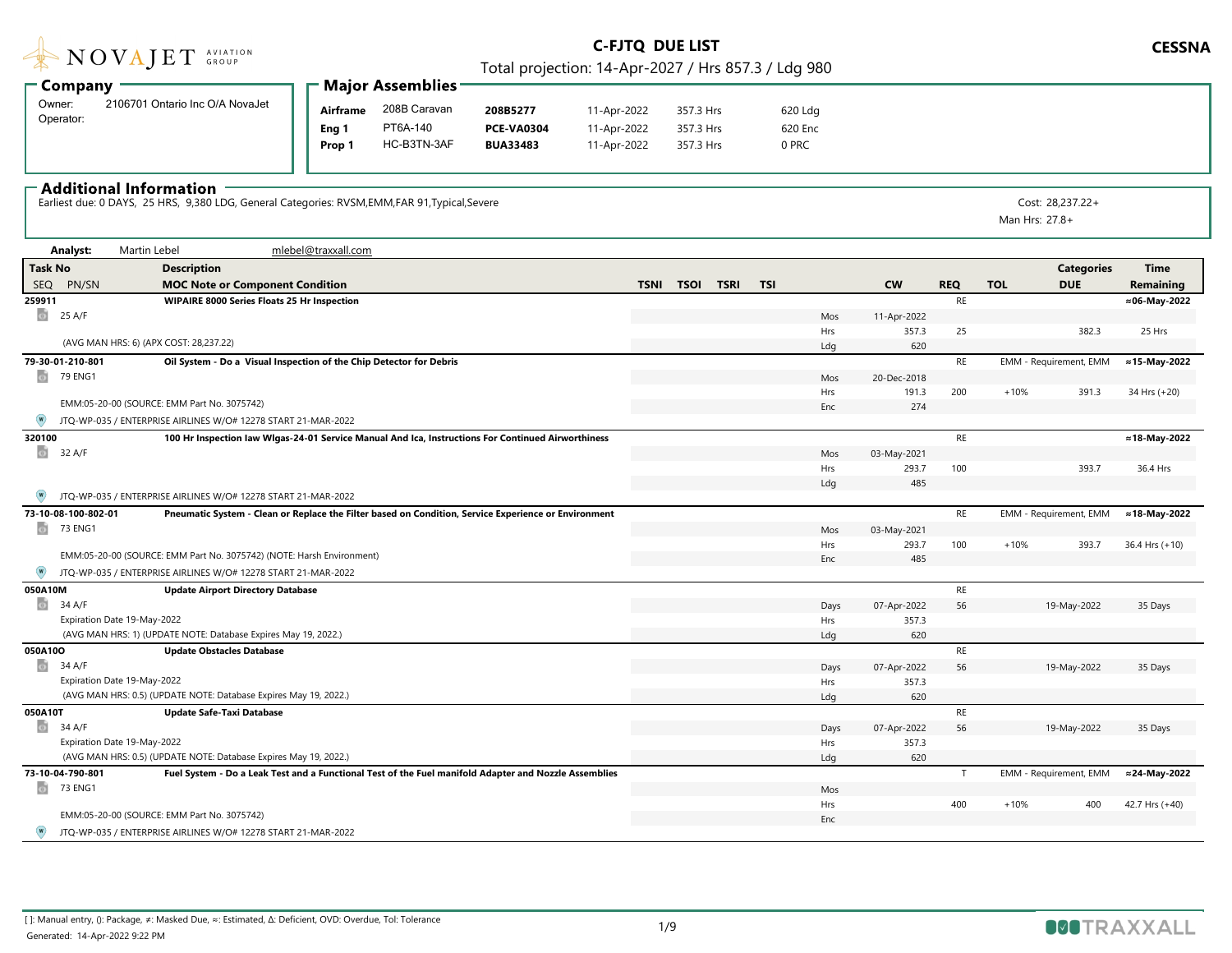|  |  | NOVAJET SROUP |  |
|--|--|---------------|--|

Total projection: 14-Apr-2027 / Hrs 857.3 / Ldg 980

|                     |                                 |        | $\blacksquare$ Major Assemblies - |                   |             |           |         |  |
|---------------------|---------------------------------|--------|-----------------------------------|-------------------|-------------|-----------|---------|--|
| ∙ Company           |                                 |        |                                   |                   |             |           |         |  |
| Owner:<br>Operator: | 2106701 Ontario Inc O/A NovaJet |        | 208B Caravan<br>Airframe          | 208B5277          | 11-Apr-2022 | 357.3 Hrs | 620 Ldg |  |
|                     |                                 | Eng    | PT6A-140                          | <b>PCE-VA0304</b> | 11-Apr-2022 | 357.3 Hrs | 620 Enc |  |
|                     |                                 | Prop ' | HC-B3TN-3AF                       | <b>BUA33483</b>   | 11-Apr-2022 | 357.3 Hrs | 0 PRC   |  |

 $\ddotsc$ 

#### $\overline{\phantom{a}}$  Additional Information

Earliest due: 0 DAYS, 25 HRS, 9,380 LDG, General Categories: RVSM,EMM,FAR 91,Typical,Severe Cost: 28,237.22+

Man Hrs: 27.8+

| <b>Task No</b><br><b>Description</b><br><b>Categories</b><br><b>Time</b><br><b>SEQ</b><br>PN/SN<br><b>TSOI TSRI</b><br><b>TSI</b><br><b>CW</b><br><b>DUE</b><br>Remaining<br><b>MOC Note or Component Condition</b><br><b>TSNI</b><br><b>REQ</b><br><b>TOL</b><br>RE<br><b>WIPAIRE 8000 Series Floats 25 Hr Inspection</b><br>≈06-May-2022<br>259911<br>o.<br>25 A/F<br>Mos<br>11-Apr-2022<br>25 Hrs<br>Hrs<br>357.3<br>25<br>382.3<br>(AVG MAN HRS: 6) (APX COST: 28,237.22)<br>620<br>Ldg<br>Oil System - Do a Visual Inspection of the Chip Detector for Debris<br>RE<br>EMM - Requirement, EMM<br>≈15-May-2022<br>79-30-01-210-801<br>o.<br>79 ENG1<br>Mos<br>20-Dec-2018<br>200<br>191.3<br>$+10%$<br>391.3<br>Hrs<br>34 Hrs (+20)<br>EMM:05-20-00 (SOURCE: EMM Part No. 3075742)<br>274<br>Enc<br>JTQ-WP-035 / ENTERPRISE AIRLINES W/O# 12278 START 21-MAR-2022<br>RE<br>320100<br>100 Hr Inspection law Wlgas-24-01 Service Manual And Ica, Instructions For Continued Airworthiness<br>≈18-May-2022<br>o.<br>32 A/F<br>Mos<br>03-May-2021<br>Hrs<br>293.7<br>100<br>393.7<br>36.4 Hrs<br>485<br>Ldg<br>JTQ-WP-035 / ENTERPRISE AIRLINES W/O# 12278 START 21-MAR-2022<br>73-10-08-100-802-01<br>Pneumatic System - Clean or Replace the Filter based on Condition, Service Experience or Environment<br>RE<br>EMM - Requirement, EMM<br>≈18-May-2022<br>o.<br>73 ENG1<br>03-May-2021<br>Mos<br>100<br>Hrs<br>293.7<br>$+10%$<br>393.7<br>$36.4$ Hrs $(+10)$<br>EMM:05-20-00 (SOURCE: EMM Part No. 3075742) (NOTE: Harsh Environment)<br>Enc<br>485<br>JTQ-WP-035 / ENTERPRISE AIRLINES W/O# 12278 START 21-MAR-2022<br>RE<br>050A10M<br><b>Update Airport Directory Database</b><br>面<br>34 A/F<br>56<br>19-May-2022<br>Days<br>07-Apr-2022<br>35 Days<br>Expiration Date 19-May-2022<br>357.3<br>Hrs<br>(AVG MAN HRS: 1) (UPDATE NOTE: Database Expires May 19, 2022.)<br>620<br>Ldg<br>050A10O<br>RE<br><b>Update Obstacles Database</b><br>o.<br>34 A/F<br>07-Apr-2022<br>56<br>19-May-2022<br>35 Days<br>Days<br>Expiration Date 19-May-2022<br>357.3<br>Hrs<br>(AVG MAN HRS: 0.5) (UPDATE NOTE: Database Expires May 19, 2022.)<br>620<br>Ldg<br>RE<br>050A10T<br><b>Update Safe-Taxi Database</b><br>o.<br>34 A/F<br>56<br>19-May-2022<br>Days<br>07-Apr-2022<br>35 Days<br>Expiration Date 19-May-2022<br>357.3<br>Hrs<br>(AVG MAN HRS: 0.5) (UPDATE NOTE: Database Expires May 19, 2022.)<br>620<br>Ldg<br>73-10-04-790-801<br>EMM - Requirement, EMM<br>≈24-May-2022<br>Fuel System - Do a Leak Test and a Functional Test of the Fuel manifold Adapter and Nozzle Assemblies<br>T<br>ō<br><b>73 ENG1</b><br>Mos<br>Hrs<br>400<br>$+10%$<br>400<br>42.7 Hrs (+40)<br>EMM:05-20-00 (SOURCE: EMM Part No. 3075742)<br>Enc<br>JTQ-WP-035 / ENTERPRISE AIRLINES W/O# 12278 START 21-MAR-2022 | Analyst: | Martin Lebel | mlebel@traxxall.com |  |  |  |  |  |
|----------------------------------------------------------------------------------------------------------------------------------------------------------------------------------------------------------------------------------------------------------------------------------------------------------------------------------------------------------------------------------------------------------------------------------------------------------------------------------------------------------------------------------------------------------------------------------------------------------------------------------------------------------------------------------------------------------------------------------------------------------------------------------------------------------------------------------------------------------------------------------------------------------------------------------------------------------------------------------------------------------------------------------------------------------------------------------------------------------------------------------------------------------------------------------------------------------------------------------------------------------------------------------------------------------------------------------------------------------------------------------------------------------------------------------------------------------------------------------------------------------------------------------------------------------------------------------------------------------------------------------------------------------------------------------------------------------------------------------------------------------------------------------------------------------------------------------------------------------------------------------------------------------------------------------------------------------------------------------------------------------------------------------------------------------------------------------------------------------------------------------------------------------------------------------------------------------------------------------------------------------------------------------------------------------------------------------------------------------------------------------------------------------------------------------------------------------------------------------------------------------------------------------------------------------------------------------------------------------------------------------------------------------------------------------------------------------------------------------------------------------------------------------------------------------|----------|--------------|---------------------|--|--|--|--|--|
|                                                                                                                                                                                                                                                                                                                                                                                                                                                                                                                                                                                                                                                                                                                                                                                                                                                                                                                                                                                                                                                                                                                                                                                                                                                                                                                                                                                                                                                                                                                                                                                                                                                                                                                                                                                                                                                                                                                                                                                                                                                                                                                                                                                                                                                                                                                                                                                                                                                                                                                                                                                                                                                                                                                                                                                                          |          |              |                     |  |  |  |  |  |
|                                                                                                                                                                                                                                                                                                                                                                                                                                                                                                                                                                                                                                                                                                                                                                                                                                                                                                                                                                                                                                                                                                                                                                                                                                                                                                                                                                                                                                                                                                                                                                                                                                                                                                                                                                                                                                                                                                                                                                                                                                                                                                                                                                                                                                                                                                                                                                                                                                                                                                                                                                                                                                                                                                                                                                                                          |          |              |                     |  |  |  |  |  |
|                                                                                                                                                                                                                                                                                                                                                                                                                                                                                                                                                                                                                                                                                                                                                                                                                                                                                                                                                                                                                                                                                                                                                                                                                                                                                                                                                                                                                                                                                                                                                                                                                                                                                                                                                                                                                                                                                                                                                                                                                                                                                                                                                                                                                                                                                                                                                                                                                                                                                                                                                                                                                                                                                                                                                                                                          |          |              |                     |  |  |  |  |  |
|                                                                                                                                                                                                                                                                                                                                                                                                                                                                                                                                                                                                                                                                                                                                                                                                                                                                                                                                                                                                                                                                                                                                                                                                                                                                                                                                                                                                                                                                                                                                                                                                                                                                                                                                                                                                                                                                                                                                                                                                                                                                                                                                                                                                                                                                                                                                                                                                                                                                                                                                                                                                                                                                                                                                                                                                          |          |              |                     |  |  |  |  |  |
|                                                                                                                                                                                                                                                                                                                                                                                                                                                                                                                                                                                                                                                                                                                                                                                                                                                                                                                                                                                                                                                                                                                                                                                                                                                                                                                                                                                                                                                                                                                                                                                                                                                                                                                                                                                                                                                                                                                                                                                                                                                                                                                                                                                                                                                                                                                                                                                                                                                                                                                                                                                                                                                                                                                                                                                                          |          |              |                     |  |  |  |  |  |
|                                                                                                                                                                                                                                                                                                                                                                                                                                                                                                                                                                                                                                                                                                                                                                                                                                                                                                                                                                                                                                                                                                                                                                                                                                                                                                                                                                                                                                                                                                                                                                                                                                                                                                                                                                                                                                                                                                                                                                                                                                                                                                                                                                                                                                                                                                                                                                                                                                                                                                                                                                                                                                                                                                                                                                                                          |          |              |                     |  |  |  |  |  |
|                                                                                                                                                                                                                                                                                                                                                                                                                                                                                                                                                                                                                                                                                                                                                                                                                                                                                                                                                                                                                                                                                                                                                                                                                                                                                                                                                                                                                                                                                                                                                                                                                                                                                                                                                                                                                                                                                                                                                                                                                                                                                                                                                                                                                                                                                                                                                                                                                                                                                                                                                                                                                                                                                                                                                                                                          |          |              |                     |  |  |  |  |  |
|                                                                                                                                                                                                                                                                                                                                                                                                                                                                                                                                                                                                                                                                                                                                                                                                                                                                                                                                                                                                                                                                                                                                                                                                                                                                                                                                                                                                                                                                                                                                                                                                                                                                                                                                                                                                                                                                                                                                                                                                                                                                                                                                                                                                                                                                                                                                                                                                                                                                                                                                                                                                                                                                                                                                                                                                          |          |              |                     |  |  |  |  |  |
|                                                                                                                                                                                                                                                                                                                                                                                                                                                                                                                                                                                                                                                                                                                                                                                                                                                                                                                                                                                                                                                                                                                                                                                                                                                                                                                                                                                                                                                                                                                                                                                                                                                                                                                                                                                                                                                                                                                                                                                                                                                                                                                                                                                                                                                                                                                                                                                                                                                                                                                                                                                                                                                                                                                                                                                                          |          |              |                     |  |  |  |  |  |
|                                                                                                                                                                                                                                                                                                                                                                                                                                                                                                                                                                                                                                                                                                                                                                                                                                                                                                                                                                                                                                                                                                                                                                                                                                                                                                                                                                                                                                                                                                                                                                                                                                                                                                                                                                                                                                                                                                                                                                                                                                                                                                                                                                                                                                                                                                                                                                                                                                                                                                                                                                                                                                                                                                                                                                                                          |          |              |                     |  |  |  |  |  |
|                                                                                                                                                                                                                                                                                                                                                                                                                                                                                                                                                                                                                                                                                                                                                                                                                                                                                                                                                                                                                                                                                                                                                                                                                                                                                                                                                                                                                                                                                                                                                                                                                                                                                                                                                                                                                                                                                                                                                                                                                                                                                                                                                                                                                                                                                                                                                                                                                                                                                                                                                                                                                                                                                                                                                                                                          |          |              |                     |  |  |  |  |  |
|                                                                                                                                                                                                                                                                                                                                                                                                                                                                                                                                                                                                                                                                                                                                                                                                                                                                                                                                                                                                                                                                                                                                                                                                                                                                                                                                                                                                                                                                                                                                                                                                                                                                                                                                                                                                                                                                                                                                                                                                                                                                                                                                                                                                                                                                                                                                                                                                                                                                                                                                                                                                                                                                                                                                                                                                          |          |              |                     |  |  |  |  |  |
|                                                                                                                                                                                                                                                                                                                                                                                                                                                                                                                                                                                                                                                                                                                                                                                                                                                                                                                                                                                                                                                                                                                                                                                                                                                                                                                                                                                                                                                                                                                                                                                                                                                                                                                                                                                                                                                                                                                                                                                                                                                                                                                                                                                                                                                                                                                                                                                                                                                                                                                                                                                                                                                                                                                                                                                                          |          |              |                     |  |  |  |  |  |
|                                                                                                                                                                                                                                                                                                                                                                                                                                                                                                                                                                                                                                                                                                                                                                                                                                                                                                                                                                                                                                                                                                                                                                                                                                                                                                                                                                                                                                                                                                                                                                                                                                                                                                                                                                                                                                                                                                                                                                                                                                                                                                                                                                                                                                                                                                                                                                                                                                                                                                                                                                                                                                                                                                                                                                                                          |          |              |                     |  |  |  |  |  |
|                                                                                                                                                                                                                                                                                                                                                                                                                                                                                                                                                                                                                                                                                                                                                                                                                                                                                                                                                                                                                                                                                                                                                                                                                                                                                                                                                                                                                                                                                                                                                                                                                                                                                                                                                                                                                                                                                                                                                                                                                                                                                                                                                                                                                                                                                                                                                                                                                                                                                                                                                                                                                                                                                                                                                                                                          |          |              |                     |  |  |  |  |  |
|                                                                                                                                                                                                                                                                                                                                                                                                                                                                                                                                                                                                                                                                                                                                                                                                                                                                                                                                                                                                                                                                                                                                                                                                                                                                                                                                                                                                                                                                                                                                                                                                                                                                                                                                                                                                                                                                                                                                                                                                                                                                                                                                                                                                                                                                                                                                                                                                                                                                                                                                                                                                                                                                                                                                                                                                          |          |              |                     |  |  |  |  |  |
|                                                                                                                                                                                                                                                                                                                                                                                                                                                                                                                                                                                                                                                                                                                                                                                                                                                                                                                                                                                                                                                                                                                                                                                                                                                                                                                                                                                                                                                                                                                                                                                                                                                                                                                                                                                                                                                                                                                                                                                                                                                                                                                                                                                                                                                                                                                                                                                                                                                                                                                                                                                                                                                                                                                                                                                                          |          |              |                     |  |  |  |  |  |
|                                                                                                                                                                                                                                                                                                                                                                                                                                                                                                                                                                                                                                                                                                                                                                                                                                                                                                                                                                                                                                                                                                                                                                                                                                                                                                                                                                                                                                                                                                                                                                                                                                                                                                                                                                                                                                                                                                                                                                                                                                                                                                                                                                                                                                                                                                                                                                                                                                                                                                                                                                                                                                                                                                                                                                                                          |          |              |                     |  |  |  |  |  |
|                                                                                                                                                                                                                                                                                                                                                                                                                                                                                                                                                                                                                                                                                                                                                                                                                                                                                                                                                                                                                                                                                                                                                                                                                                                                                                                                                                                                                                                                                                                                                                                                                                                                                                                                                                                                                                                                                                                                                                                                                                                                                                                                                                                                                                                                                                                                                                                                                                                                                                                                                                                                                                                                                                                                                                                                          |          |              |                     |  |  |  |  |  |
|                                                                                                                                                                                                                                                                                                                                                                                                                                                                                                                                                                                                                                                                                                                                                                                                                                                                                                                                                                                                                                                                                                                                                                                                                                                                                                                                                                                                                                                                                                                                                                                                                                                                                                                                                                                                                                                                                                                                                                                                                                                                                                                                                                                                                                                                                                                                                                                                                                                                                                                                                                                                                                                                                                                                                                                                          |          |              |                     |  |  |  |  |  |
|                                                                                                                                                                                                                                                                                                                                                                                                                                                                                                                                                                                                                                                                                                                                                                                                                                                                                                                                                                                                                                                                                                                                                                                                                                                                                                                                                                                                                                                                                                                                                                                                                                                                                                                                                                                                                                                                                                                                                                                                                                                                                                                                                                                                                                                                                                                                                                                                                                                                                                                                                                                                                                                                                                                                                                                                          |          |              |                     |  |  |  |  |  |
|                                                                                                                                                                                                                                                                                                                                                                                                                                                                                                                                                                                                                                                                                                                                                                                                                                                                                                                                                                                                                                                                                                                                                                                                                                                                                                                                                                                                                                                                                                                                                                                                                                                                                                                                                                                                                                                                                                                                                                                                                                                                                                                                                                                                                                                                                                                                                                                                                                                                                                                                                                                                                                                                                                                                                                                                          |          |              |                     |  |  |  |  |  |
|                                                                                                                                                                                                                                                                                                                                                                                                                                                                                                                                                                                                                                                                                                                                                                                                                                                                                                                                                                                                                                                                                                                                                                                                                                                                                                                                                                                                                                                                                                                                                                                                                                                                                                                                                                                                                                                                                                                                                                                                                                                                                                                                                                                                                                                                                                                                                                                                                                                                                                                                                                                                                                                                                                                                                                                                          |          |              |                     |  |  |  |  |  |
|                                                                                                                                                                                                                                                                                                                                                                                                                                                                                                                                                                                                                                                                                                                                                                                                                                                                                                                                                                                                                                                                                                                                                                                                                                                                                                                                                                                                                                                                                                                                                                                                                                                                                                                                                                                                                                                                                                                                                                                                                                                                                                                                                                                                                                                                                                                                                                                                                                                                                                                                                                                                                                                                                                                                                                                                          |          |              |                     |  |  |  |  |  |
|                                                                                                                                                                                                                                                                                                                                                                                                                                                                                                                                                                                                                                                                                                                                                                                                                                                                                                                                                                                                                                                                                                                                                                                                                                                                                                                                                                                                                                                                                                                                                                                                                                                                                                                                                                                                                                                                                                                                                                                                                                                                                                                                                                                                                                                                                                                                                                                                                                                                                                                                                                                                                                                                                                                                                                                                          |          |              |                     |  |  |  |  |  |
|                                                                                                                                                                                                                                                                                                                                                                                                                                                                                                                                                                                                                                                                                                                                                                                                                                                                                                                                                                                                                                                                                                                                                                                                                                                                                                                                                                                                                                                                                                                                                                                                                                                                                                                                                                                                                                                                                                                                                                                                                                                                                                                                                                                                                                                                                                                                                                                                                                                                                                                                                                                                                                                                                                                                                                                                          |          |              |                     |  |  |  |  |  |
|                                                                                                                                                                                                                                                                                                                                                                                                                                                                                                                                                                                                                                                                                                                                                                                                                                                                                                                                                                                                                                                                                                                                                                                                                                                                                                                                                                                                                                                                                                                                                                                                                                                                                                                                                                                                                                                                                                                                                                                                                                                                                                                                                                                                                                                                                                                                                                                                                                                                                                                                                                                                                                                                                                                                                                                                          |          |              |                     |  |  |  |  |  |
|                                                                                                                                                                                                                                                                                                                                                                                                                                                                                                                                                                                                                                                                                                                                                                                                                                                                                                                                                                                                                                                                                                                                                                                                                                                                                                                                                                                                                                                                                                                                                                                                                                                                                                                                                                                                                                                                                                                                                                                                                                                                                                                                                                                                                                                                                                                                                                                                                                                                                                                                                                                                                                                                                                                                                                                                          |          |              |                     |  |  |  |  |  |
|                                                                                                                                                                                                                                                                                                                                                                                                                                                                                                                                                                                                                                                                                                                                                                                                                                                                                                                                                                                                                                                                                                                                                                                                                                                                                                                                                                                                                                                                                                                                                                                                                                                                                                                                                                                                                                                                                                                                                                                                                                                                                                                                                                                                                                                                                                                                                                                                                                                                                                                                                                                                                                                                                                                                                                                                          |          |              |                     |  |  |  |  |  |
|                                                                                                                                                                                                                                                                                                                                                                                                                                                                                                                                                                                                                                                                                                                                                                                                                                                                                                                                                                                                                                                                                                                                                                                                                                                                                                                                                                                                                                                                                                                                                                                                                                                                                                                                                                                                                                                                                                                                                                                                                                                                                                                                                                                                                                                                                                                                                                                                                                                                                                                                                                                                                                                                                                                                                                                                          |          |              |                     |  |  |  |  |  |
|                                                                                                                                                                                                                                                                                                                                                                                                                                                                                                                                                                                                                                                                                                                                                                                                                                                                                                                                                                                                                                                                                                                                                                                                                                                                                                                                                                                                                                                                                                                                                                                                                                                                                                                                                                                                                                                                                                                                                                                                                                                                                                                                                                                                                                                                                                                                                                                                                                                                                                                                                                                                                                                                                                                                                                                                          |          |              |                     |  |  |  |  |  |
|                                                                                                                                                                                                                                                                                                                                                                                                                                                                                                                                                                                                                                                                                                                                                                                                                                                                                                                                                                                                                                                                                                                                                                                                                                                                                                                                                                                                                                                                                                                                                                                                                                                                                                                                                                                                                                                                                                                                                                                                                                                                                                                                                                                                                                                                                                                                                                                                                                                                                                                                                                                                                                                                                                                                                                                                          |          |              |                     |  |  |  |  |  |
|                                                                                                                                                                                                                                                                                                                                                                                                                                                                                                                                                                                                                                                                                                                                                                                                                                                                                                                                                                                                                                                                                                                                                                                                                                                                                                                                                                                                                                                                                                                                                                                                                                                                                                                                                                                                                                                                                                                                                                                                                                                                                                                                                                                                                                                                                                                                                                                                                                                                                                                                                                                                                                                                                                                                                                                                          |          |              |                     |  |  |  |  |  |
|                                                                                                                                                                                                                                                                                                                                                                                                                                                                                                                                                                                                                                                                                                                                                                                                                                                                                                                                                                                                                                                                                                                                                                                                                                                                                                                                                                                                                                                                                                                                                                                                                                                                                                                                                                                                                                                                                                                                                                                                                                                                                                                                                                                                                                                                                                                                                                                                                                                                                                                                                                                                                                                                                                                                                                                                          |          |              |                     |  |  |  |  |  |
|                                                                                                                                                                                                                                                                                                                                                                                                                                                                                                                                                                                                                                                                                                                                                                                                                                                                                                                                                                                                                                                                                                                                                                                                                                                                                                                                                                                                                                                                                                                                                                                                                                                                                                                                                                                                                                                                                                                                                                                                                                                                                                                                                                                                                                                                                                                                                                                                                                                                                                                                                                                                                                                                                                                                                                                                          |          |              |                     |  |  |  |  |  |
|                                                                                                                                                                                                                                                                                                                                                                                                                                                                                                                                                                                                                                                                                                                                                                                                                                                                                                                                                                                                                                                                                                                                                                                                                                                                                                                                                                                                                                                                                                                                                                                                                                                                                                                                                                                                                                                                                                                                                                                                                                                                                                                                                                                                                                                                                                                                                                                                                                                                                                                                                                                                                                                                                                                                                                                                          |          |              |                     |  |  |  |  |  |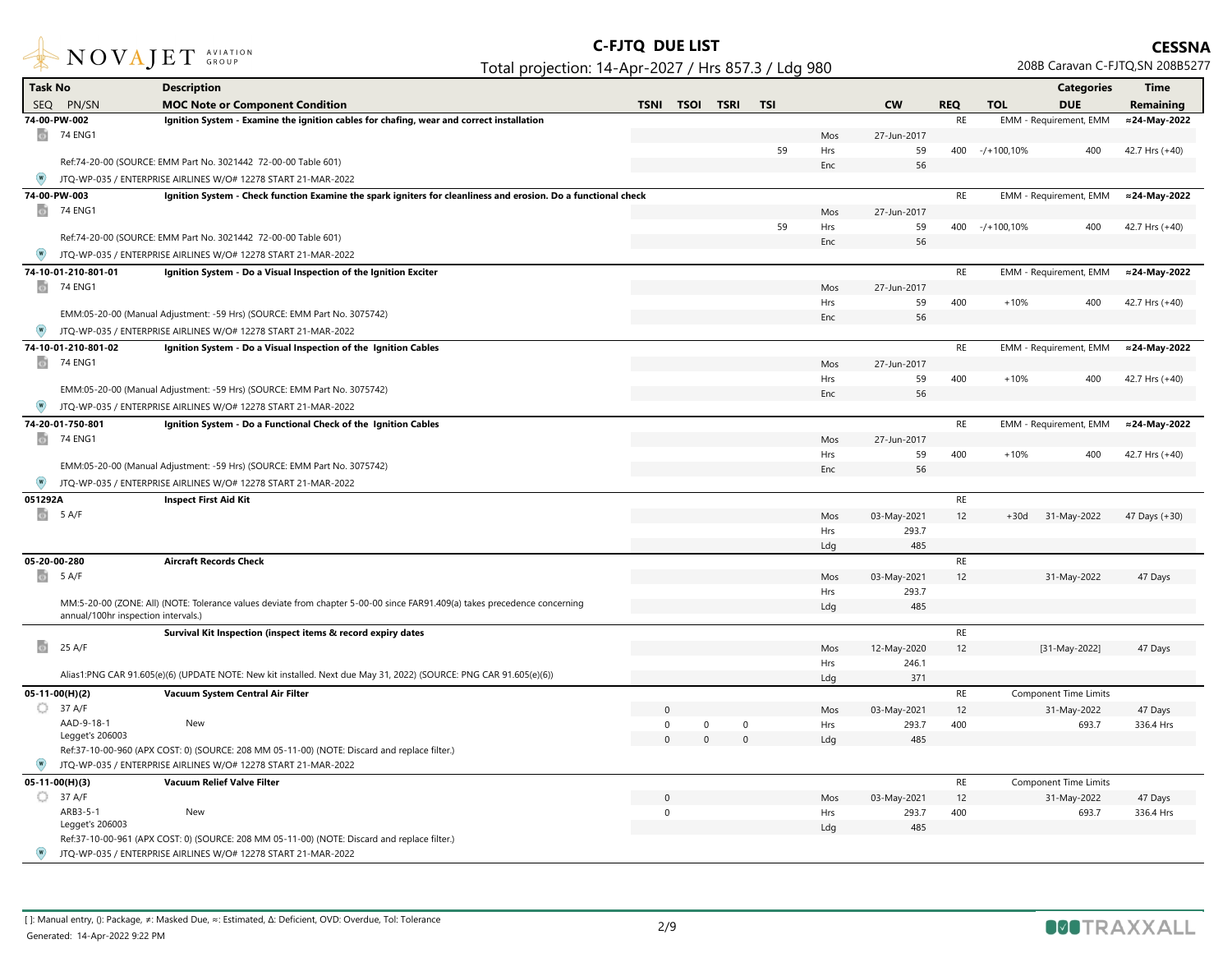

| <b>Task No</b>                      | <b>Description</b>                                                                                                         |              |             |             |             |            |                      |               |                | <b>Categories</b>            | Time           |
|-------------------------------------|----------------------------------------------------------------------------------------------------------------------------|--------------|-------------|-------------|-------------|------------|----------------------|---------------|----------------|------------------------------|----------------|
| SEQ PN/SN                           | <b>MOC Note or Component Condition</b>                                                                                     | <b>TSNI</b>  | <b>TSOI</b> | <b>TSRI</b> | <b>TSI</b>  |            | <b>CW</b>            | <b>REQ</b>    | <b>TOL</b>     | <b>DUE</b>                   | Remaining      |
| 74-00-PW-002                        | Ignition System - Examine the ignition cables for chafing, wear and correct installation                                   |              |             |             |             |            |                      | RE            |                | EMM - Requirement, EMM       | ≈24-May-2022   |
| $\omega$<br>74 ENG1                 |                                                                                                                            |              |             |             |             | Mos        | 27-Jun-2017          |               |                |                              |                |
|                                     |                                                                                                                            |              |             |             | 59          | Hrs        | -59                  |               | 400 -/+100,10% | 400                          | 42.7 Hrs (+40) |
|                                     | Ref:74-20-00 (SOURCE: EMM Part No. 3021442 72-00-00 Table 601)                                                             |              |             |             |             | Enc        | 56                   |               |                |                              |                |
|                                     | JTQ-WP-035 / ENTERPRISE AIRLINES W/O# 12278 START 21-MAR-2022                                                              |              |             |             |             |            |                      |               |                |                              |                |
| 74-00-PW-003                        | Ignition System - Check function Examine the spark igniters for cleanliness and erosion. Do a functional check             |              |             |             |             |            |                      | RE            |                | EMM - Requirement, EMM       | ≈24-May-2022   |
| <b>74 ENG1</b>                      |                                                                                                                            |              |             |             |             | Mos        | 27-Jun-2017          |               |                |                              |                |
|                                     | Ref:74-20-00 (SOURCE: EMM Part No. 3021442 72-00-00 Table 601)                                                             |              |             |             | 59          | Hrs        | 59<br>56             | 400           | -/+100,10%     | 400                          | 42.7 Hrs (+40) |
|                                     | JTQ-WP-035 / ENTERPRISE AIRLINES W/O# 12278 START 21-MAR-2022                                                              |              |             |             |             | Enc        |                      |               |                |                              |                |
| 74-10-01-210-801-01                 | Ignition System - Do a Visual Inspection of the Ignition Exciter                                                           |              |             |             |             |            |                      | RE            |                | EMM - Requirement, EMM       | ≈24-May-2022   |
| 74 ENG1<br>$\circ$                  |                                                                                                                            |              |             |             |             | Mos        | 27-Jun-2017          |               |                |                              |                |
|                                     |                                                                                                                            |              |             |             |             | Hrs        | 59                   | 400           | $+10%$         | 400                          | 42.7 Hrs (+40) |
|                                     | EMM:05-20-00 (Manual Adjustment: -59 Hrs) (SOURCE: EMM Part No. 3075742)                                                   |              |             |             |             | Enc        | 56                   |               |                |                              |                |
|                                     | JTQ-WP-035 / ENTERPRISE AIRLINES W/O# 12278 START 21-MAR-2022                                                              |              |             |             |             |            |                      |               |                |                              |                |
| 74-10-01-210-801-02                 | Ignition System - Do a Visual Inspection of the Ignition Cables                                                            |              |             |             |             |            |                      | $\mathsf{RE}$ |                | EMM - Requirement, EMM       | ≈24-May-2022   |
| ø<br>74 ENG1                        |                                                                                                                            |              |             |             |             | Mos        | 27-Jun-2017          |               |                |                              |                |
|                                     |                                                                                                                            |              |             |             |             | Hrs        | 59                   | 400           | $+10%$         | 400                          | 42.7 Hrs (+40) |
|                                     | EMM:05-20-00 (Manual Adjustment: -59 Hrs) (SOURCE: EMM Part No. 3075742)                                                   |              |             |             |             | Enc        | 56                   |               |                |                              |                |
|                                     | JTQ-WP-035 / ENTERPRISE AIRLINES W/O# 12278 START 21-MAR-2022                                                              |              |             |             |             |            |                      |               |                |                              |                |
| 74-20-01-750-801                    | Ignition System - Do a Functional Check of the Ignition Cables                                                             |              |             |             |             |            |                      | <b>RE</b>     |                | EMM - Requirement, EMM       | ≈24-May-2022   |
| $\ddot{\circ}$<br>74 ENG1           |                                                                                                                            |              |             |             |             | Mos        | 27-Jun-2017          |               |                |                              |                |
|                                     | EMM:05-20-00 (Manual Adjustment: -59 Hrs) (SOURCE: EMM Part No. 3075742)                                                   |              |             |             |             | Hrs        | 59                   | 400           | $+10%$         | 400                          | 42.7 Hrs (+40) |
|                                     | JTQ-WP-035 / ENTERPRISE AIRLINES W/O# 12278 START 21-MAR-2022                                                              |              |             |             |             | Enc        | 56                   |               |                |                              |                |
| 051292A                             | <b>Inspect First Aid Kit</b>                                                                                               |              |             |             |             |            |                      | $\mathsf{RE}$ |                |                              |                |
| $\overline{\mathbf{C}}$<br>5 A/F    |                                                                                                                            |              |             |             |             | Mos        | 03-May-2021          | 12            | $+30d$         | 31-May-2022                  | 47 Days (+30)  |
|                                     |                                                                                                                            |              |             |             |             | Hrs        | 293.7                |               |                |                              |                |
|                                     |                                                                                                                            |              |             |             |             | Ldg        | 485                  |               |                |                              |                |
| 05-20-00-280                        | <b>Aircraft Records Check</b>                                                                                              |              |             |             |             |            |                      | RE            |                |                              |                |
| $\frac{1}{2}$ 5 A/F                 |                                                                                                                            |              |             |             |             | Mos        | 03-May-2021          | 12            |                | 31-May-2022                  | 47 Days        |
|                                     |                                                                                                                            |              |             |             |             | Hrs        | 293.7                |               |                |                              |                |
|                                     | MM:5-20-00 (ZONE: All) (NOTE: Tolerance values deviate from chapter 5-00-00 since FAR91.409(a) takes precedence concerning |              |             |             |             | Ldg        | 485                  |               |                |                              |                |
| annual/100hr inspection intervals.) |                                                                                                                            |              |             |             |             |            |                      | RE            |                |                              |                |
| $\overline{\omega}$<br>25 A/F       | Survival Kit Inspection (inspect items & record expiry dates                                                               |              |             |             |             |            |                      | 12            |                |                              | 47 Days        |
|                                     |                                                                                                                            |              |             |             |             | Mos<br>Hrs | 12-May-2020<br>246.1 |               |                | $[31-May-2022]$              |                |
|                                     | Alias1:PNG CAR 91.605(e)(6) (UPDATE NOTE: New kit installed. Next due May 31, 2022) (SOURCE: PNG CAR 91.605(e)(6))         |              |             |             |             | Ldg        | 371                  |               |                |                              |                |
| 05-11-00(H)(2)                      | Vacuum System Central Air Filter                                                                                           |              |             |             |             |            |                      | RE            |                | <b>Component Time Limits</b> |                |
| 37 A/F                              |                                                                                                                            | $\Omega$     |             |             |             | Mos        | 03-May-2021          | 12            |                | 31-May-2022                  | 47 Days        |
| AAD-9-18-1                          | New                                                                                                                        | $\Omega$     |             | $\Omega$    | $\mathbf 0$ | Hrs        | 293.7                | 400           |                | 693.7                        | 336.4 Hrs      |
| Legget's 206003                     |                                                                                                                            | $\mathbf{0}$ |             | $\Omega$    | $\mathbf 0$ | Ldg        | 485                  |               |                |                              |                |
|                                     | Ref:37-10-00-960 (APX COST: 0) (SOURCE: 208 MM 05-11-00) (NOTE: Discard and replace filter.)                               |              |             |             |             |            |                      |               |                |                              |                |
|                                     | JTQ-WP-035 / ENTERPRISE AIRLINES W/O# 12278 START 21-MAR-2022                                                              |              |             |             |             |            |                      |               |                |                              |                |
| 05-11-00(H)(3)                      | Vacuum Relief Valve Filter                                                                                                 |              |             |             |             |            |                      | RE            |                | <b>Component Time Limits</b> |                |
| 37 A/F                              |                                                                                                                            | $\Omega$     |             |             |             | Mos        | 03-May-2021          | 12            |                | 31-May-2022                  | 47 Days        |
| ARB3-5-1<br>Legget's 206003         | New                                                                                                                        | $\mathbf 0$  |             |             |             | Hrs        | 293.7                | 400           |                | 693.7                        | 336.4 Hrs      |
|                                     | Ref:37-10-00-961 (APX COST: 0) (SOURCE: 208 MM 05-11-00) (NOTE: Discard and replace filter.)                               |              |             |             |             | Ldg        | 485                  |               |                |                              |                |
|                                     | JTQ-WP-035 / ENTERPRISE AIRLINES W/O# 12278 START 21-MAR-2022                                                              |              |             |             |             |            |                      |               |                |                              |                |
|                                     |                                                                                                                            |              |             |             |             |            |                      |               |                |                              |                |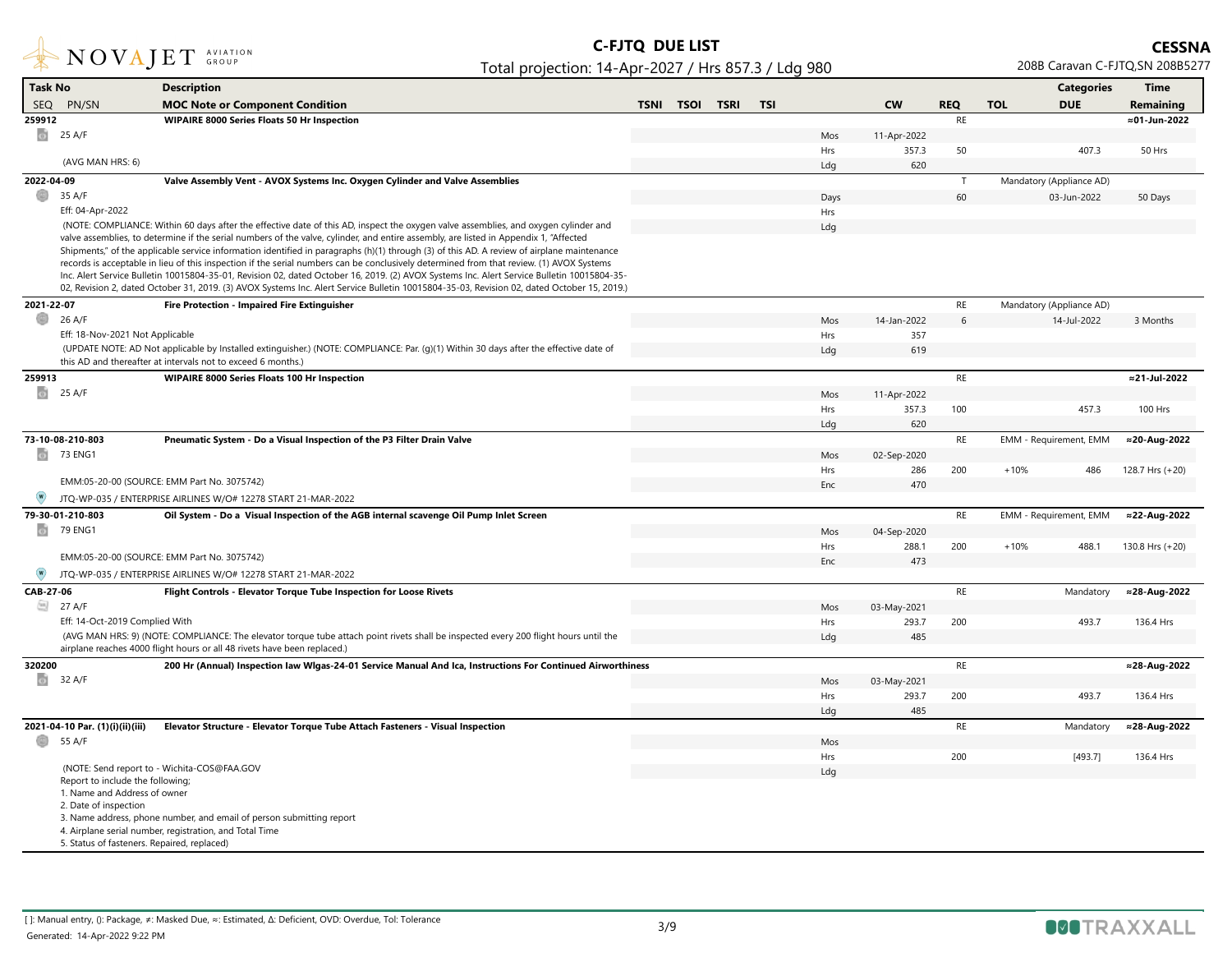

| <b>Task No</b> |                                                    | <b>Description</b>                                                                                                                                                                                                                                                                  |             |             |             |            |            |             |               |            | <b>Categories</b>        | <b>Time</b>     |
|----------------|----------------------------------------------------|-------------------------------------------------------------------------------------------------------------------------------------------------------------------------------------------------------------------------------------------------------------------------------------|-------------|-------------|-------------|------------|------------|-------------|---------------|------------|--------------------------|-----------------|
| SEO.           | PN/SN                                              | <b>MOC Note or Component Condition</b>                                                                                                                                                                                                                                              | <b>TSNI</b> | <b>TSOI</b> | <b>TSRI</b> | <b>TSI</b> |            | <b>CW</b>   | <b>REQ</b>    | <b>TOL</b> | <b>DUE</b>               | Remaining       |
| 259912         |                                                    | <b>WIPAIRE 8000 Series Floats 50 Hr Inspection</b>                                                                                                                                                                                                                                  |             |             |             |            |            |             | RE            |            |                          | ≈01-Jun-2022    |
| $\circ$        | 25 A/F                                             |                                                                                                                                                                                                                                                                                     |             |             |             |            | Mos        | 11-Apr-2022 |               |            |                          |                 |
|                |                                                    |                                                                                                                                                                                                                                                                                     |             |             |             |            | Hrs        | 357.3       | 50            |            | 407.3                    | 50 Hrs          |
|                | (AVG MAN HRS: 6)                                   |                                                                                                                                                                                                                                                                                     |             |             |             |            | Ldg        | 620         |               |            |                          |                 |
| 2022-04-09     |                                                    | Valve Assembly Vent - AVOX Systems Inc. Oxygen Cylinder and Valve Assemblies                                                                                                                                                                                                        |             |             |             |            |            |             | $\mathsf{T}$  |            | Mandatory (Appliance AD) |                 |
| o              | 35 A/F                                             |                                                                                                                                                                                                                                                                                     |             |             |             |            | Days       |             | 60            |            | 03-Jun-2022              | 50 Days         |
|                | Eff: 04-Apr-2022                                   |                                                                                                                                                                                                                                                                                     |             |             |             |            | Hrs        |             |               |            |                          |                 |
|                |                                                    | (NOTE: COMPLIANCE: Within 60 days after the effective date of this AD, inspect the oxygen valve assemblies, and oxygen cylinder and                                                                                                                                                 |             |             |             |            | Ldg        |             |               |            |                          |                 |
|                |                                                    | valve assemblies, to determine if the serial numbers of the valve, cylinder, and entire assembly, are listed in Appendix 1, "Affected<br>Shipments," of the applicable service information identified in paragraphs (h)(1) through (3) of this AD. A review of airplane maintenance |             |             |             |            |            |             |               |            |                          |                 |
|                |                                                    | records is acceptable in lieu of this inspection if the serial numbers can be conclusively determined from that review. (1) AVOX Systems                                                                                                                                            |             |             |             |            |            |             |               |            |                          |                 |
|                |                                                    | Inc. Alert Service Bulletin 10015804-35-01, Revision 02, dated October 16, 2019. (2) AVOX Systems Inc. Alert Service Bulletin 10015804-35-                                                                                                                                          |             |             |             |            |            |             |               |            |                          |                 |
|                |                                                    | 02, Revision 2, dated October 31, 2019. (3) AVOX Systems Inc. Alert Service Bulletin 10015804-35-03, Revision 02, dated October 15, 2019.)                                                                                                                                          |             |             |             |            |            |             |               |            |                          |                 |
| 2021-22-07     |                                                    | Fire Protection - Impaired Fire Extinguisher                                                                                                                                                                                                                                        |             |             |             |            |            |             | RE            |            | Mandatory (Appliance AD) |                 |
| O              | 26 A/F                                             |                                                                                                                                                                                                                                                                                     |             |             |             |            | Mos        | 14-Jan-2022 | 6             |            | 14-Jul-2022              | 3 Months        |
|                | Eff: 18-Nov-2021 Not Applicable                    |                                                                                                                                                                                                                                                                                     |             |             |             |            | Hrs        | 357         |               |            |                          |                 |
|                |                                                    | (UPDATE NOTE: AD Not applicable by Installed extinguisher.) (NOTE: COMPLIANCE: Par. (g)(1) Within 30 days after the effective date of                                                                                                                                               |             |             |             |            | Ldg        | 619         |               |            |                          |                 |
|                |                                                    | this AD and thereafter at intervals not to exceed 6 months.)                                                                                                                                                                                                                        |             |             |             |            |            |             |               |            |                          |                 |
| 259913         |                                                    | <b>WIPAIRE 8000 Series Floats 100 Hr Inspection</b>                                                                                                                                                                                                                                 |             |             |             |            |            |             | RE            |            |                          | ≈21-Jul-2022    |
|                | $\begin{array}{ c c }\n\hline\n\end{array}$ 25 A/F |                                                                                                                                                                                                                                                                                     |             |             |             |            | Mos        | 11-Apr-2022 |               |            |                          |                 |
|                |                                                    |                                                                                                                                                                                                                                                                                     |             |             |             |            | Hrs        | 357.3       | 100           |            | 457.3                    | 100 Hrs         |
|                |                                                    |                                                                                                                                                                                                                                                                                     |             |             |             |            | Ldg        | 620         |               |            |                          |                 |
|                | 73-10-08-210-803                                   | Pneumatic System - Do a Visual Inspection of the P3 Filter Drain Valve                                                                                                                                                                                                              |             |             |             |            |            |             | RE            |            | EMM - Requirement, EMM   | ≈20-Aug-2022    |
|                | <b>73 ENG1</b>                                     |                                                                                                                                                                                                                                                                                     |             |             |             |            | Mos        | 02-Sep-2020 |               |            |                          |                 |
|                |                                                    | EMM:05-20-00 (SOURCE: EMM Part No. 3075742)                                                                                                                                                                                                                                         |             |             |             |            | Hrs<br>Enc | 286<br>470  | 200           | $+10%$     | 486                      | 128.7 Hrs (+20) |
|                |                                                    | JTQ-WP-035 / ENTERPRISE AIRLINES W/O# 12278 START 21-MAR-2022                                                                                                                                                                                                                       |             |             |             |            |            |             |               |            |                          |                 |
|                | 79-30-01-210-803                                   | Oil System - Do a Visual Inspection of the AGB internal scavenge Oil Pump Inlet Screen                                                                                                                                                                                              |             |             |             |            |            |             | RE            |            | EMM - Requirement, EMM   | ≈22-Aug-2022    |
| G)             | 79 ENG1                                            |                                                                                                                                                                                                                                                                                     |             |             |             |            | Mos        | 04-Sep-2020 |               |            |                          |                 |
|                |                                                    |                                                                                                                                                                                                                                                                                     |             |             |             |            | Hrs        | 288.1       | 200           | $+10%$     | 488.1                    | 130.8 Hrs (+20) |
|                |                                                    | EMM:05-20-00 (SOURCE: EMM Part No. 3075742)                                                                                                                                                                                                                                         |             |             |             |            | Enc        | 473         |               |            |                          |                 |
| $\circ$        |                                                    | JTQ-WP-035 / ENTERPRISE AIRLINES W/O# 12278 START 21-MAR-2022                                                                                                                                                                                                                       |             |             |             |            |            |             |               |            |                          |                 |
| CAB-27-06      |                                                    | Flight Controls - Elevator Torque Tube Inspection for Loose Rivets                                                                                                                                                                                                                  |             |             |             |            |            |             | RE            |            | Mandatory                | ≈28-Aug-2022    |
|                | □ 27 A/F                                           |                                                                                                                                                                                                                                                                                     |             |             |             |            | Mos        | 03-May-2021 |               |            |                          |                 |
|                | Eff: 14-Oct-2019 Complied With                     |                                                                                                                                                                                                                                                                                     |             |             |             |            | Hrs        | 293.7       | 200           |            | 493.7                    | 136.4 Hrs       |
|                |                                                    | (AVG MAN HRS: 9) (NOTE: COMPLIANCE: The elevator torque tube attach point rivets shall be inspected every 200 flight hours until the                                                                                                                                                |             |             |             |            | Ldg        | 485         |               |            |                          |                 |
|                |                                                    | airplane reaches 4000 flight hours or all 48 rivets have been replaced.)                                                                                                                                                                                                            |             |             |             |            |            |             |               |            |                          |                 |
| 320200         |                                                    | 200 Hr (Annual) Inspection law WIgas-24-01 Service Manual And Ica, Instructions For Continued Airworthiness                                                                                                                                                                         |             |             |             |            |            |             | RE            |            |                          | ≈28-Aug-2022    |
| $\circ$        | 32 A/F                                             |                                                                                                                                                                                                                                                                                     |             |             |             |            | Mos        | 03-May-2021 |               |            |                          |                 |
|                |                                                    |                                                                                                                                                                                                                                                                                     |             |             |             |            | Hrs        | 293.7       | 200           |            | 493.7                    | 136.4 Hrs       |
|                |                                                    |                                                                                                                                                                                                                                                                                     |             |             |             |            | Ldg        | 485         |               |            |                          |                 |
|                | 2021-04-10 Par. (1)(i)(ii)(iii)                    | Elevator Structure - Elevator Torque Tube Attach Fasteners - Visual Inspection                                                                                                                                                                                                      |             |             |             |            |            |             | $\mathsf{RE}$ |            | Mandatory                | ≈28-Aug-2022    |
|                | 55 A/F                                             |                                                                                                                                                                                                                                                                                     |             |             |             |            | Mos        |             |               |            |                          |                 |
|                |                                                    | (NOTE: Send report to - Wichita-COS@FAA.GOV                                                                                                                                                                                                                                         |             |             |             |            | Hrs        |             | 200           |            | [493.7]                  | 136.4 Hrs       |
|                | Report to include the following;                   |                                                                                                                                                                                                                                                                                     |             |             |             |            | Ldg        |             |               |            |                          |                 |
|                | 1. Name and Address of owner                       |                                                                                                                                                                                                                                                                                     |             |             |             |            |            |             |               |            |                          |                 |
|                | 2. Date of inspection                              |                                                                                                                                                                                                                                                                                     |             |             |             |            |            |             |               |            |                          |                 |
|                |                                                    | 3. Name address, phone number, and email of person submitting report<br>4. Airplane serial number, registration, and Total Time                                                                                                                                                     |             |             |             |            |            |             |               |            |                          |                 |
|                | 5. Status of fasteners. Repaired, replaced)        |                                                                                                                                                                                                                                                                                     |             |             |             |            |            |             |               |            |                          |                 |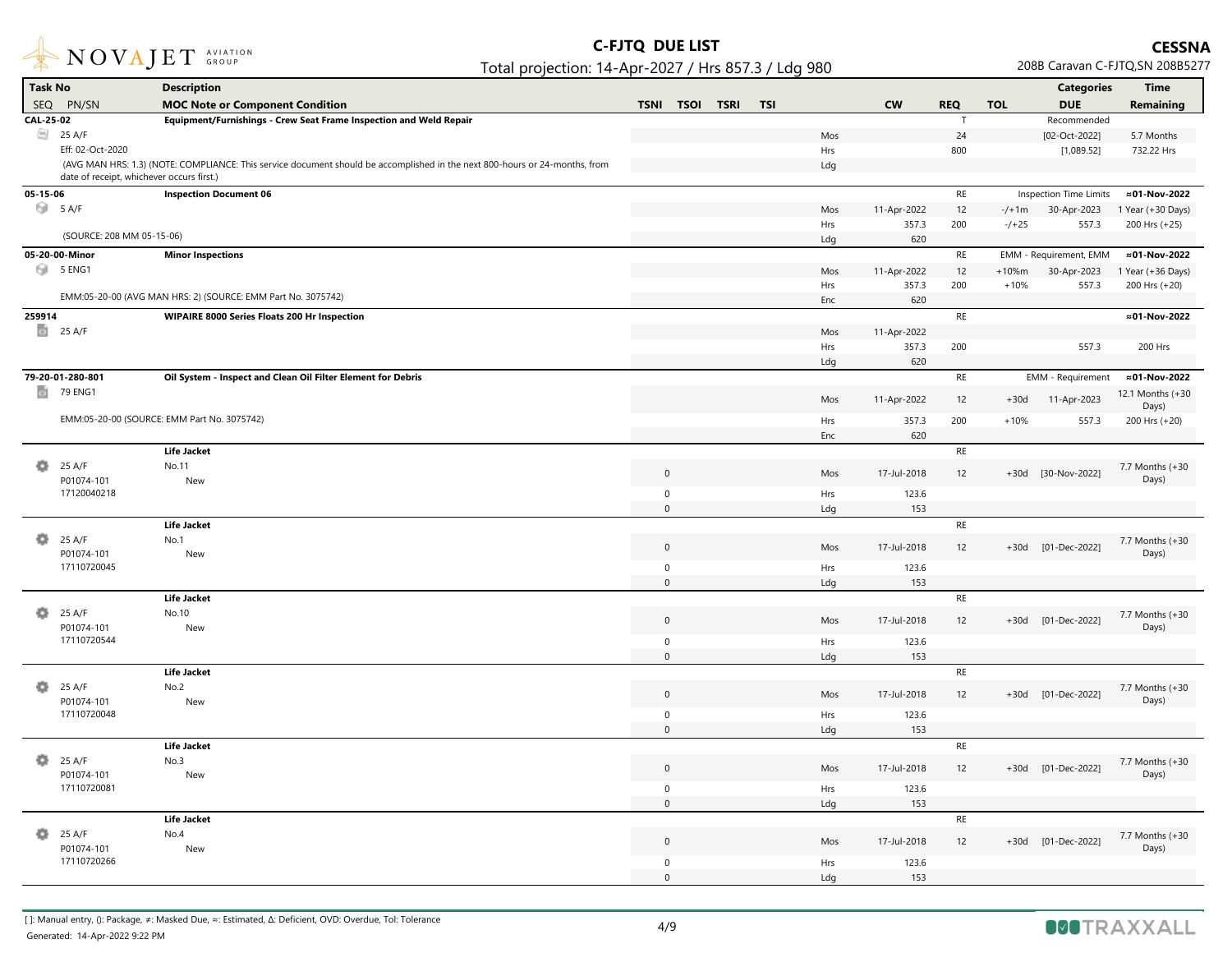

| <b>Task No</b> |                                           | <b>Description</b>                                                                                                          |                     |      |             |            |     |             |            |            | <b>Categories</b>             | Time                      |
|----------------|-------------------------------------------|-----------------------------------------------------------------------------------------------------------------------------|---------------------|------|-------------|------------|-----|-------------|------------|------------|-------------------------------|---------------------------|
|                | SEQ PN/SN                                 | <b>MOC Note or Component Condition</b>                                                                                      | <b>TSNI</b>         | TSOI | <b>TSRI</b> | <b>TSI</b> |     | <b>CW</b>   | <b>REQ</b> | <b>TOL</b> | <b>DUE</b>                    | Remaining                 |
| CAL-25-02      |                                           | Equipment/Furnishings - Crew Seat Frame Inspection and Weld Repair                                                          |                     |      |             |            |     |             | T          |            | Recommended                   |                           |
|                | 25 A/F                                    |                                                                                                                             |                     |      |             |            | Mos |             | 24         |            | [02-Oct-2022]                 | 5.7 Months                |
|                | Eff: 02-Oct-2020                          |                                                                                                                             |                     |      |             |            | Hrs |             | 800        |            | [1,089.52]                    | 732.22 Hrs                |
|                | date of receipt, whichever occurs first.) | (AVG MAN HRS: 1.3) (NOTE: COMPLIANCE: This service document should be accomplished in the next 800-hours or 24-months, from |                     |      |             |            | Ldg |             |            |            |                               |                           |
| 05-15-06       |                                           | <b>Inspection Document 06</b>                                                                                               |                     |      |             |            |     |             | $\sf RE$   |            | <b>Inspection Time Limits</b> | ≈01-Nov-2022              |
|                | 5 A/F                                     |                                                                                                                             |                     |      |             |            | Mos | 11-Apr-2022 | 12         | $-/+1m$    | 30-Apr-2023                   | 1 Year (+30 Days)         |
|                |                                           |                                                                                                                             |                     |      |             |            | Hrs | 357.3       | 200        | $-/-25$    | 557.3                         | 200 Hrs (+25)             |
|                | (SOURCE: 208 MM 05-15-06)                 |                                                                                                                             |                     |      |             |            | Ldg | 620         |            |            |                               |                           |
|                | 05-20-00-Minor                            | <b>Minor Inspections</b>                                                                                                    |                     |      |             |            |     |             | $\sf RE$   |            | EMM - Requirement, EMM        | ≈01-Nov-2022              |
| 0              | 5 ENG1                                    |                                                                                                                             |                     |      |             |            | Mos | 11-Apr-2022 | 12         | $+10%m$    | 30-Apr-2023                   | 1 Year (+36 Days)         |
|                |                                           |                                                                                                                             |                     |      |             |            | Hrs | 357.3       | 200        | $+10%$     | 557.3                         | 200 Hrs (+20)             |
|                |                                           | EMM:05-20-00 (AVG MAN HRS: 2) (SOURCE: EMM Part No. 3075742)                                                                |                     |      |             |            | Enc | 620         |            |            |                               |                           |
| 259914         |                                           | WIPAIRE 8000 Series Floats 200 Hr Inspection                                                                                |                     |      |             |            |     |             | RE         |            |                               | ≈01-Nov-2022              |
|                | $\frac{1}{25}$ 25 A/F                     |                                                                                                                             |                     |      |             |            | Mos | 11-Apr-2022 |            |            |                               |                           |
|                |                                           |                                                                                                                             |                     |      |             |            | Hrs | 357.3       | 200        |            | 557.3                         | 200 Hrs                   |
|                |                                           |                                                                                                                             |                     |      |             |            | Ldg | 620         |            |            |                               |                           |
|                | 79-20-01-280-801                          | Oil System - Inspect and Clean Oil Filter Element for Debris                                                                |                     |      |             |            |     |             | $\sf RE$   |            | <b>EMM - Requirement</b>      | ≈01-Nov-2022              |
| ø              | 79 ENG1                                   |                                                                                                                             |                     |      |             |            | Mos | 11-Apr-2022 | 12         | $+30d$     | 11-Apr-2023                   | 12.1 Months (+30<br>Days) |
|                |                                           | EMM:05-20-00 (SOURCE: EMM Part No. 3075742)                                                                                 |                     |      |             |            | Hrs | 357.3       | 200        | $+10%$     | 557.3                         | 200 Hrs (+20)             |
|                |                                           |                                                                                                                             |                     |      |             |            | Enc | 620         |            |            |                               |                           |
|                |                                           | <b>Life Jacket</b>                                                                                                          |                     |      |             |            |     |             | RE         |            |                               |                           |
| o              | 25 A/F                                    | No.11                                                                                                                       | $\mathbf 0$         |      |             |            | Mos | 17-Jul-2018 | 12         | $+30d$     | [30-Nov-2022]                 | 7.7 Months (+30           |
|                | P01074-101<br>17120040218                 | New                                                                                                                         | $\mathsf 0$         |      |             |            | Hrs | 123.6       |            |            |                               | Days)                     |
|                |                                           |                                                                                                                             | $\mathbf{0}$        |      |             |            | Ldg | 153         |            |            |                               |                           |
|                |                                           | <b>Life Jacket</b>                                                                                                          |                     |      |             |            |     |             | RE         |            |                               |                           |
| o.             | 25 A/F                                    | No.1                                                                                                                        |                     |      |             |            |     |             |            |            |                               | 7.7 Months (+30           |
|                | P01074-101                                | New                                                                                                                         | $\mathbf 0$         |      |             |            | Mos | 17-Jul-2018 | 12         | $+30d$     | [01-Dec-2022]                 | Days)                     |
|                | 17110720045                               |                                                                                                                             | $\mathbf 0$         |      |             |            | Hrs | 123.6       |            |            |                               |                           |
|                |                                           |                                                                                                                             | $\mathbf{0}$        |      |             |            | Ldg | 153         |            |            |                               |                           |
|                |                                           | <b>Life Jacket</b>                                                                                                          |                     |      |             |            |     |             | RE         |            |                               |                           |
| o              | 25 A/F<br>P01074-101                      | No.10<br>New                                                                                                                | $\mathsf{O}\xspace$ |      |             |            | Mos | 17-Jul-2018 | 12         |            | +30d [01-Dec-2022]            | 7.7 Months (+30<br>Days)  |
|                | 17110720544                               |                                                                                                                             | $\mathbf 0$         |      |             |            | Hrs | 123.6       |            |            |                               |                           |
|                |                                           |                                                                                                                             | $\mathsf{O}\xspace$ |      |             |            | Ldg | 153         |            |            |                               |                           |
|                |                                           | <b>Life Jacket</b>                                                                                                          |                     |      |             |            |     |             | RE         |            |                               |                           |
| o              | 25 A/F<br>P01074-101                      | No.2<br>New                                                                                                                 | $\mathsf{O}\xspace$ |      |             |            | Mos | 17-Jul-2018 | 12         |            | +30d [01-Dec-2022]            | 7.7 Months (+30<br>Days)  |
|                | 17110720048                               |                                                                                                                             | $\mathsf 0$         |      |             |            | Hrs | 123.6       |            |            |                               |                           |
|                |                                           |                                                                                                                             | $\mathbf{0}$        |      |             |            | Ldg | 153         |            |            |                               |                           |
|                |                                           | <b>Life Jacket</b>                                                                                                          |                     |      |             |            |     |             | $\sf RE$   |            |                               |                           |
|                | 25 A/F                                    | No.3                                                                                                                        | $\mathsf 0$         |      |             |            | Mos | 17-Jul-2018 | 12         |            | +30d [01-Dec-2022]            | 7.7 Months (+30           |
|                | P01074-101                                | New                                                                                                                         |                     |      |             |            |     |             |            |            |                               | Days)                     |
|                | 17110720081                               |                                                                                                                             | $\mathbf 0$         |      |             |            | Hrs | 123.6       |            |            |                               |                           |
|                |                                           |                                                                                                                             | $\Omega$            |      |             |            | Ldg | 153         |            |            |                               |                           |
|                |                                           | <b>Life Jacket</b>                                                                                                          |                     |      |             |            |     |             | RE         |            |                               |                           |
| o              | 25 A/F<br>P01074-101                      | No.4<br>New                                                                                                                 | $\mathbf{0}$        |      |             |            | Mos | 17-Jul-2018 | 12         | $+30d$     | [01-Dec-2022]                 | 7.7 Months (+30<br>Days)  |
|                | 17110720266                               |                                                                                                                             | $\mathsf 0$         |      |             |            | Hrs | 123.6       |            |            |                               |                           |
|                |                                           |                                                                                                                             | $\Omega$            |      |             |            | Ldg | 153         |            |            |                               |                           |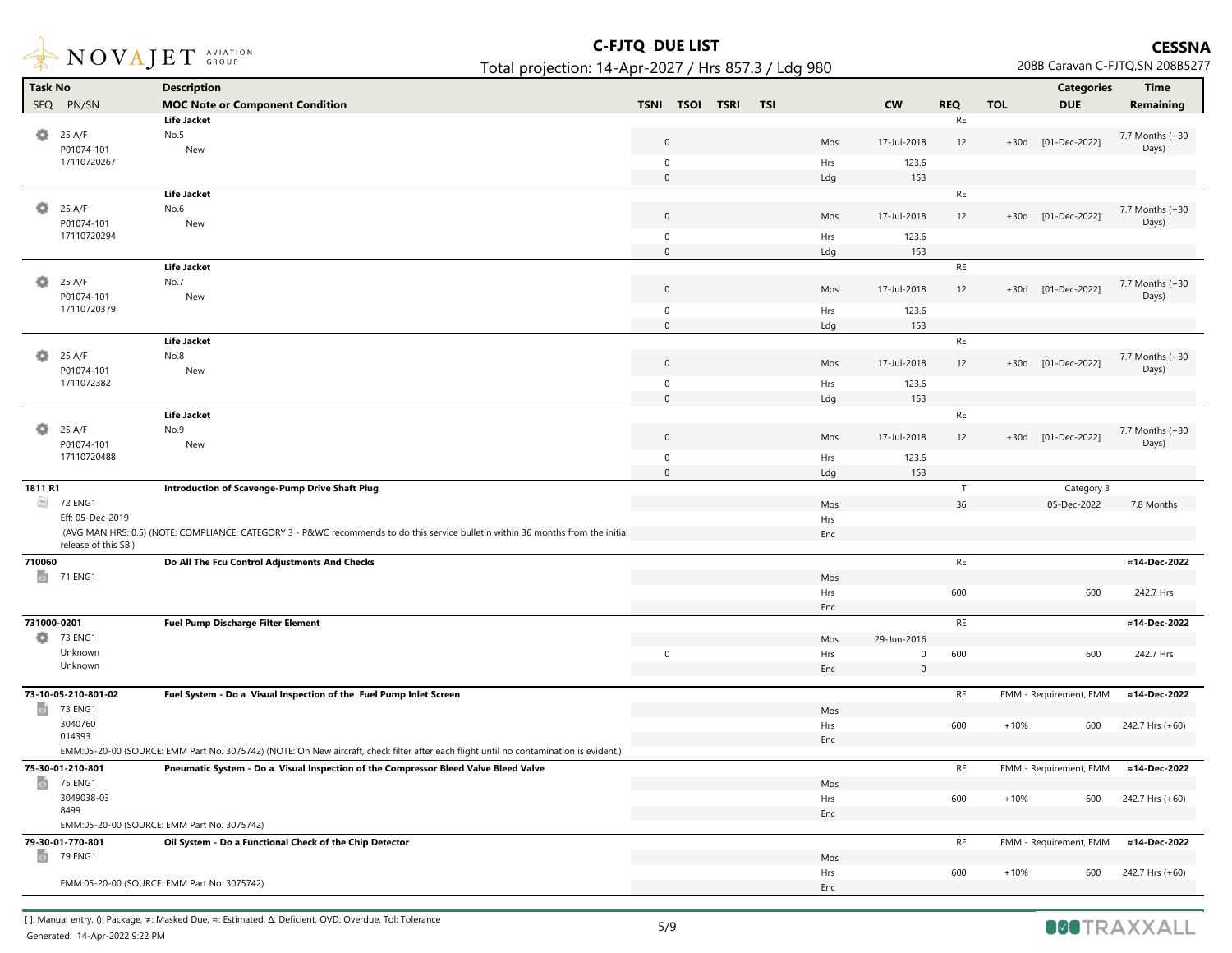

| <b>Task No</b> |                      | <b>Description</b>                                                                                                                     |                                                         |            |             |               |            | <b>Categories</b>      | <b>Time</b>              |
|----------------|----------------------|----------------------------------------------------------------------------------------------------------------------------------------|---------------------------------------------------------|------------|-------------|---------------|------------|------------------------|--------------------------|
|                | SEQ PN/SN            | <b>MOC Note or Component Condition</b>                                                                                                 | <b>TSNI</b><br><b>TSOI</b><br><b>TSRI</b><br><b>TSI</b> |            | <b>CW</b>   | <b>REQ</b>    | <b>TOL</b> | <b>DUE</b>             | Remaining                |
|                |                      | <b>Life Jacket</b>                                                                                                                     |                                                         |            |             | $\mathsf{RE}$ |            |                        |                          |
| ۰              | 25 A/F               | No.5                                                                                                                                   |                                                         |            |             |               |            |                        | 7.7 Months (+30          |
|                | P01074-101           | New                                                                                                                                    | $\overline{0}$                                          | Mos        | 17-Jul-2018 | 12            |            | +30d [01-Dec-2022]     | Days)                    |
|                | 17110720267          |                                                                                                                                        | $\mathbf 0$                                             | Hrs        | 123.6       |               |            |                        |                          |
|                |                      |                                                                                                                                        | $\mathbf 0$                                             | Ldg        | 153         |               |            |                        |                          |
|                |                      | <b>Life Jacket</b>                                                                                                                     |                                                         |            |             | RE            |            |                        |                          |
|                | 25 A/F               | No.6                                                                                                                                   | $\mathbf 0$                                             | Mos        | 17-Jul-2018 | 12            |            | +30d [01-Dec-2022]     | 7.7 Months (+30          |
|                | P01074-101           | New                                                                                                                                    |                                                         |            |             |               |            |                        | Days)                    |
|                | 17110720294          |                                                                                                                                        | $\mathbf 0$                                             | Hrs        | 123.6       |               |            |                        |                          |
|                |                      | <b>Life Jacket</b>                                                                                                                     | $\mathsf{O}\xspace$                                     | Ldg        | 153         | $\sf RE$      |            |                        |                          |
| o              | 25 A/F               | No.7                                                                                                                                   |                                                         |            |             |               |            |                        |                          |
|                | P01074-101           | New                                                                                                                                    | $\overline{0}$                                          | Mos        | 17-Jul-2018 | 12            |            | +30d [01-Dec-2022]     | 7.7 Months (+30<br>Days) |
|                | 17110720379          |                                                                                                                                        | $\mathbf 0$                                             | Hrs        | 123.6       |               |            |                        |                          |
|                |                      |                                                                                                                                        | $\mathbf 0$                                             | Ldg        | 153         |               |            |                        |                          |
|                |                      | <b>Life Jacket</b>                                                                                                                     |                                                         |            |             | $\sf RE$      |            |                        |                          |
| o              | 25 A/F               | No.8                                                                                                                                   |                                                         |            |             |               |            |                        | 7.7 Months (+30          |
|                | P01074-101           | New                                                                                                                                    | $\boldsymbol{0}$                                        | Mos        | 17-Jul-2018 | 12            |            | +30d [01-Dec-2022]     | Days)                    |
|                | 1711072382           |                                                                                                                                        | $\mathbf 0$                                             | Hrs        | 123.6       |               |            |                        |                          |
|                |                      |                                                                                                                                        | $\mathbf 0$                                             | Ldg        | 153         |               |            |                        |                          |
|                |                      | <b>Life Jacket</b>                                                                                                                     |                                                         |            |             | $\mathsf{RE}$ |            |                        |                          |
| o              | 25 A/F               | No.9                                                                                                                                   | $\overline{0}$                                          | Mos        | 17-Jul-2018 | 12            |            | +30d [01-Dec-2022]     | 7.7 Months (+30          |
|                | P01074-101           | New                                                                                                                                    |                                                         |            |             |               |            |                        | Days)                    |
|                | 17110720488          |                                                                                                                                        | $\mathsf 0$                                             | Hrs        | 123.6       |               |            |                        |                          |
|                |                      |                                                                                                                                        | $\mathsf 0$                                             | Ldg        | 153         |               |            |                        |                          |
| 1811 R1        | <b>22 ENG1</b>       | Introduction of Scavenge-Pump Drive Shaft Plug                                                                                         |                                                         |            |             | $\mathsf{T}$  |            | Category 3             |                          |
|                | Eff: 05-Dec-2019     |                                                                                                                                        |                                                         | Mos        |             | 36            |            | 05-Dec-2022            | 7.8 Months               |
|                |                      | (AVG MAN HRS: 0.5) (NOTE: COMPLIANCE: CATEGORY 3 - P&WC recommends to do this service bulletin within 36 months from the initial       |                                                         | Hrs<br>Enc |             |               |            |                        |                          |
|                | release of this SB.) |                                                                                                                                        |                                                         |            |             |               |            |                        |                          |
| 710060         |                      | Do All The Fcu Control Adjustments And Checks                                                                                          |                                                         |            |             | $\sf RE$      |            |                        | ≈14-Dec-2022             |
|                | <b>1</b> 71 ENG1     |                                                                                                                                        |                                                         | Mos        |             |               |            |                        |                          |
|                |                      |                                                                                                                                        |                                                         | Hrs        |             | 600           |            | 600                    | 242.7 Hrs                |
|                |                      |                                                                                                                                        |                                                         | Enc        |             |               |            |                        |                          |
| 731000-0201    |                      | <b>Fuel Pump Discharge Filter Element</b>                                                                                              |                                                         |            |             | $\sf RE$      |            |                        | ≈14-Dec-2022             |
| o              | 73 ENG1              |                                                                                                                                        |                                                         | Mos        | 29-Jun-2016 |               |            |                        |                          |
|                | Unknown              |                                                                                                                                        | $\mathsf 0$                                             | Hrs        | 0           | 600           |            | 600                    | 242.7 Hrs                |
|                | Unknown              |                                                                                                                                        |                                                         | Enc        | $\mathbf 0$ |               |            |                        |                          |
|                | 73-10-05-210-801-02  | Fuel System - Do a Visual Inspection of the Fuel Pump Inlet Screen                                                                     |                                                         |            |             | RE            |            | EMM - Requirement, EMM | ≈14-Dec-2022             |
| $\omega$       | 73 ENG1              |                                                                                                                                        |                                                         | Mos        |             |               |            |                        |                          |
|                | 3040760              |                                                                                                                                        |                                                         | Hrs        |             | 600           | $+10%$     | 600                    | 242.7 Hrs (+60)          |
|                | 014393               |                                                                                                                                        |                                                         | Enc        |             |               |            |                        |                          |
|                |                      | EMM:05-20-00 (SOURCE: EMM Part No. 3075742) (NOTE: On New aircraft, check filter after each flight until no contamination is evident.) |                                                         |            |             |               |            |                        |                          |
|                | 75-30-01-210-801     | Pneumatic System - Do a Visual Inspection of the Compressor Bleed Valve Bleed Valve                                                    |                                                         |            |             | RE            |            | EMM - Requirement, EMM | ≈14-Dec-2022             |
| o.             | 75 ENG1              |                                                                                                                                        |                                                         | Mos        |             |               |            |                        |                          |
|                | 3049038-03           |                                                                                                                                        |                                                         | Hrs        |             | 600           | $+10%$     | 600                    | 242.7 Hrs (+60)          |
|                | 8499                 |                                                                                                                                        |                                                         | Enc        |             |               |            |                        |                          |
|                |                      | EMM:05-20-00 (SOURCE: EMM Part No. 3075742)                                                                                            |                                                         |            |             |               |            |                        |                          |
|                | 79-30-01-770-801     | Oil System - Do a Functional Check of the Chip Detector                                                                                |                                                         |            |             | RE            |            | EMM - Requirement, EMM | ≈14-Dec-2022             |
| $\omega$       | 79 ENG1              |                                                                                                                                        |                                                         | Mos        |             |               |            |                        |                          |
|                |                      | EMM:05-20-00 (SOURCE: EMM Part No. 3075742)                                                                                            |                                                         | Hrs        |             | 600           | $+10%$     | 600                    | 242.7 Hrs (+60)          |
|                |                      |                                                                                                                                        |                                                         | Enc        |             |               |            |                        |                          |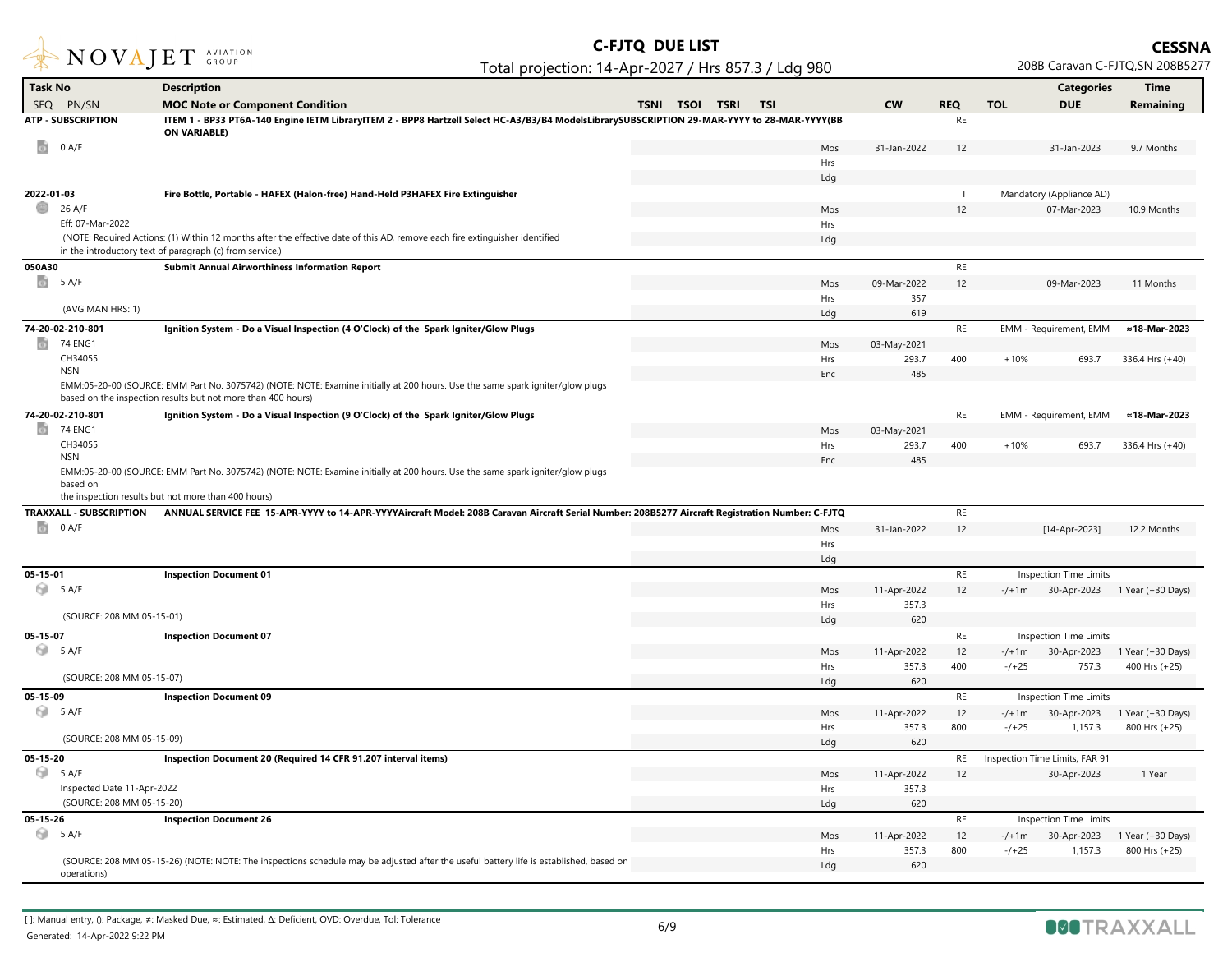

| <b>Task No</b>                 | <b>Description</b>                                                                                                                                                 |                                           |            |              |            |            | <b>Categories</b>              | <b>Time</b>                         |
|--------------------------------|--------------------------------------------------------------------------------------------------------------------------------------------------------------------|-------------------------------------------|------------|--------------|------------|------------|--------------------------------|-------------------------------------|
| <b>SEQ</b><br>PN/SN            | <b>MOC Note or Component Condition</b>                                                                                                                             | <b>TSNI</b><br><b>TSOI</b><br><b>TSRI</b> | <b>TSI</b> | <b>CW</b>    | <b>REQ</b> | <b>TOL</b> | <b>DUE</b>                     | Remaining                           |
| <b>ATP - SUBSCRIPTION</b>      | ITEM 1 - BP33 PT6A-140 Engine IETM LibraryITEM 2 - BPP8 Hartzell Select HC-A3/B3/B4 ModelsLibrarySUBSCRIPTION 29-MAR-YYYY to 28-MAR-YYYY(BB<br><b>ON VARIABLE)</b> |                                           |            |              | <b>RE</b>  |            |                                |                                     |
| ø<br>0 A/F                     |                                                                                                                                                                    |                                           | Mos        | 31-Jan-2022  | 12         |            | 31-Jan-2023                    | 9.7 Months                          |
|                                |                                                                                                                                                                    |                                           | Hrs        |              |            |            |                                |                                     |
|                                |                                                                                                                                                                    |                                           | Ldg        |              |            |            |                                |                                     |
| 2022-01-03                     | Fire Bottle, Portable - HAFEX (Halon-free) Hand-Held P3HAFEX Fire Extinguisher                                                                                     |                                           |            |              | T          |            | Mandatory (Appliance AD)       |                                     |
| ⊕<br>26 A/F                    |                                                                                                                                                                    |                                           | Mos        |              | 12         |            | 07-Mar-2023                    | 10.9 Months                         |
| Eff: 07-Mar-2022               |                                                                                                                                                                    |                                           | Hrs        |              |            |            |                                |                                     |
|                                | (NOTE: Required Actions: (1) Within 12 months after the effective date of this AD, remove each fire extinguisher identified                                        |                                           | Ldg        |              |            |            |                                |                                     |
|                                | in the introductory text of paragraph (c) from service.)                                                                                                           |                                           |            |              |            |            |                                |                                     |
| 050A30                         | <b>Submit Annual Airworthiness Information Report</b>                                                                                                              |                                           |            |              | $\sf RE$   |            |                                |                                     |
| $\circ$<br>5 A/F               |                                                                                                                                                                    |                                           | Mos        | 09-Mar-2022  | 12         |            | 09-Mar-2023                    | 11 Months                           |
|                                |                                                                                                                                                                    |                                           | Hrs        | 357          |            |            |                                |                                     |
| (AVG MAN HRS: 1)               |                                                                                                                                                                    |                                           | Ldg        | 619          |            |            |                                |                                     |
| 74-20-02-210-801               | Ignition System - Do a Visual Inspection (4 O'Clock) of the Spark Igniter/Glow Plugs                                                                               |                                           |            |              | RE         |            | EMM - Requirement, EMM         | ≈18-Mar-2023                        |
| $\circ$<br>74 ENG1             |                                                                                                                                                                    |                                           | Mos        | 03-May-2021  |            |            |                                |                                     |
| CH34055                        |                                                                                                                                                                    |                                           | Hrs        | 293.7        | 400        | $+10%$     | 693.7                          | 336.4 Hrs (+40)                     |
| <b>NSN</b>                     |                                                                                                                                                                    |                                           | Enc        | 485          |            |            |                                |                                     |
|                                | EMM:05-20-00 (SOURCE: EMM Part No. 3075742) (NOTE: NOTE: Examine initially at 200 hours. Use the same spark igniter/glow plugs                                     |                                           |            |              |            |            |                                |                                     |
|                                | based on the inspection results but not more than 400 hours)                                                                                                       |                                           |            |              |            |            |                                |                                     |
| 74-20-02-210-801               | Ignition System - Do a Visual Inspection (9 O'Clock) of the Spark Igniter/Glow Plugs                                                                               |                                           |            |              | <b>RE</b>  |            | EMM - Requirement, EMM         | ≈18-Mar-2023                        |
| $\circ$<br>74 ENG1             |                                                                                                                                                                    |                                           | Mos        | 03-May-2021  |            |            |                                |                                     |
| CH34055                        |                                                                                                                                                                    |                                           | Hrs        | 293.7        | 400        | $+10%$     | 693.7                          | 336.4 Hrs (+40)                     |
| <b>NSN</b>                     |                                                                                                                                                                    |                                           | Enc        | 485          |            |            |                                |                                     |
| based on                       | EMM:05-20-00 (SOURCE: EMM Part No. 3075742) (NOTE: NOTE: Examine initially at 200 hours. Use the same spark igniter/glow plugs                                     |                                           |            |              |            |            |                                |                                     |
|                                | the inspection results but not more than 400 hours)                                                                                                                |                                           |            |              |            |            |                                |                                     |
| <b>TRAXXALL - SUBSCRIPTION</b> | ANNUAL SERVICE FEE 15-APR-YYYY to 14-APR-YYYYAircraft Model: 208B Caravan Aircraft Serial Number: 208B5277 Aircraft Registration Number: C-FJTQ                    |                                           |            |              | RE         |            |                                |                                     |
| $\circ$<br>0 A/F               |                                                                                                                                                                    |                                           | Mos        | 31-Jan-2022  | 12         |            | [14-Apr-2023]                  | 12.2 Months                         |
|                                |                                                                                                                                                                    |                                           | Hrs        |              |            |            |                                |                                     |
|                                |                                                                                                                                                                    |                                           | Ldg        |              |            |            |                                |                                     |
| $05 - 15 - 01$                 | <b>Inspection Document 01</b>                                                                                                                                      |                                           |            |              | RE         |            | Inspection Time Limits         |                                     |
| 5 A/F                          |                                                                                                                                                                    |                                           | Mos        | 11-Apr-2022  | 12         |            |                                | -/+1m 30-Apr-2023 1 Year (+30 Days) |
|                                |                                                                                                                                                                    |                                           | Hrs        | 357.3        |            |            |                                |                                     |
| (SOURCE: 208 MM 05-15-01)      |                                                                                                                                                                    |                                           | Ldg        | 620          |            |            |                                |                                     |
| 05-15-07                       | <b>Inspection Document 07</b>                                                                                                                                      |                                           |            |              | RE         |            | <b>Inspection Time Limits</b>  |                                     |
| 5 A/F                          |                                                                                                                                                                    |                                           | Mos        | 11-Apr-2022  | 12         | $-/+1m$    | 30-Apr-2023                    | 1 Year (+30 Days)                   |
|                                |                                                                                                                                                                    |                                           | <b>Hrs</b> | 357.3        | 400        | $-7+25$    | 757.3                          | 400 Hrs (+25)                       |
| (SOURCE: 208 MM 05-15-07)      |                                                                                                                                                                    |                                           | Ldg        | 620          |            |            |                                |                                     |
| 05-15-09                       | <b>Inspection Document 09</b>                                                                                                                                      |                                           |            |              | $\sf RE$   |            | Inspection Time Limits         |                                     |
| 5 A/F                          |                                                                                                                                                                    |                                           | Mos        | 11-Apr-2022  | 12         | $-/-1m$    | 30-Apr-2023                    | 1 Year (+30 Days)                   |
|                                |                                                                                                                                                                    |                                           | Hrs        | 357.3        | 800        | $-7+25$    | 1,157.3                        | 800 Hrs (+25)                       |
| (SOURCE: 208 MM 05-15-09)      |                                                                                                                                                                    |                                           | Ldg        | 620          |            |            |                                |                                     |
| 05-15-20                       | Inspection Document 20 (Required 14 CFR 91.207 interval items)                                                                                                     |                                           |            |              | RE         |            | Inspection Time Limits, FAR 91 |                                     |
| 5 A/F                          |                                                                                                                                                                    |                                           | Mos        | 11-Apr-2022  | 12         |            | 30-Apr-2023                    | 1 Year                              |
| Inspected Date 11-Apr-2022     |                                                                                                                                                                    |                                           | Hrs        | 357.3        |            |            |                                |                                     |
| (SOURCE: 208 MM 05-15-20)      |                                                                                                                                                                    |                                           | Ldg        | 620          |            |            |                                |                                     |
| 05-15-26                       | <b>Inspection Document 26</b>                                                                                                                                      |                                           |            |              | RE         |            | <b>Inspection Time Limits</b>  |                                     |
| 5 A/F                          |                                                                                                                                                                    |                                           |            |              |            |            |                                |                                     |
|                                |                                                                                                                                                                    |                                           | Mos        | 11-Apr-2022  | 12         | $-/+1m$    | 30-Apr-2023                    | 1 Year (+30 Days)                   |
|                                | (SOURCE: 208 MM 05-15-26) (NOTE: NOTE: The inspections schedule may be adjusted after the useful battery life is established, based on                             |                                           | Hrs        | 357.3<br>620 | 800        | $-7+25$    | 1,157.3                        | 800 Hrs (+25)                       |
| operations)                    |                                                                                                                                                                    |                                           | Ldg        |              |            |            |                                |                                     |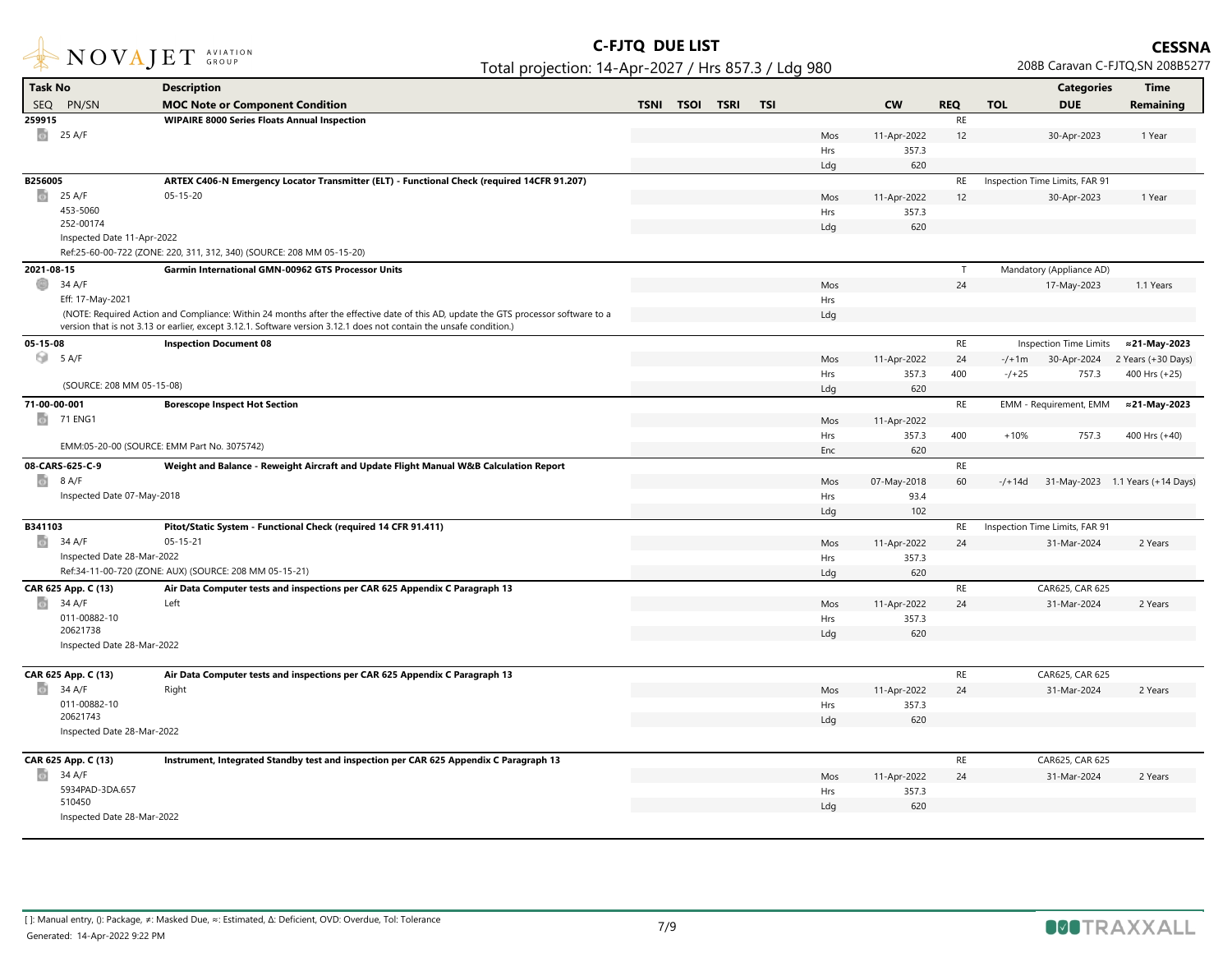

| Task No                    | <b>Description</b>                                                                                                                  |             |             |             |            |     |             |            |            | <b>Categories</b>              | <b>Time</b>                      |
|----------------------------|-------------------------------------------------------------------------------------------------------------------------------------|-------------|-------------|-------------|------------|-----|-------------|------------|------------|--------------------------------|----------------------------------|
| <b>SEQ</b><br>PN/SN        | <b>MOC Note or Component Condition</b>                                                                                              | <b>TSNI</b> | <b>TSOI</b> | <b>TSRI</b> | <b>TSI</b> |     | <b>CW</b>   | <b>REQ</b> | <b>TOL</b> | <b>DUE</b>                     | Remaining                        |
| 259915                     | <b>WIPAIRE 8000 Series Floats Annual Inspection</b>                                                                                 |             |             |             |            |     |             | <b>RE</b>  |            |                                |                                  |
| ø<br>25 A/F                |                                                                                                                                     |             |             |             |            | Mos | 11-Apr-2022 | 12         |            | 30-Apr-2023                    | 1 Year                           |
|                            |                                                                                                                                     |             |             |             |            | Hrs | 357.3       |            |            |                                |                                  |
|                            |                                                                                                                                     |             |             |             |            | Ldg | 620         |            |            |                                |                                  |
| B256005                    | ARTEX C406-N Emergency Locator Transmitter (ELT) - Functional Check (required 14CFR 91.207)                                         |             |             |             |            |     |             | RE         |            | Inspection Time Limits, FAR 91 |                                  |
| o.<br>25 A/F               | $05 - 15 - 20$                                                                                                                      |             |             |             |            | Mos | 11-Apr-2022 | 12         |            | 30-Apr-2023                    | 1 Year                           |
| 453-5060                   |                                                                                                                                     |             |             |             |            | Hrs | 357.3       |            |            |                                |                                  |
| 252-00174                  |                                                                                                                                     |             |             |             |            | Ldg | 620         |            |            |                                |                                  |
| Inspected Date 11-Apr-2022 |                                                                                                                                     |             |             |             |            |     |             |            |            |                                |                                  |
|                            | Ref:25-60-00-722 (ZONE: 220, 311, 312, 340) (SOURCE: 208 MM 05-15-20)                                                               |             |             |             |            |     |             |            |            |                                |                                  |
| 2021-08-15                 | <b>Garmin International GMN-00962 GTS Processor Units</b>                                                                           |             |             |             |            |     |             | T          |            | Mandatory (Appliance AD)       |                                  |
| O<br>34 A/F                |                                                                                                                                     |             |             |             |            | Mos |             | 24         |            | 17-May-2023                    | 1.1 Years                        |
| Eff: 17-May-2021           |                                                                                                                                     |             |             |             |            | Hrs |             |            |            |                                |                                  |
|                            | (NOTE: Required Action and Compliance: Within 24 months after the effective date of this AD, update the GTS processor software to a |             |             |             |            | Ldg |             |            |            |                                |                                  |
|                            | version that is not 3.13 or earlier, except 3.12.1. Software version 3.12.1 does not contain the unsafe condition.)                 |             |             |             |            |     |             |            |            |                                |                                  |
| 05-15-08                   | <b>Inspection Document 08</b>                                                                                                       |             |             |             |            |     |             | RE         |            | Inspection Time Limits         | ≈21-May-2023                     |
| 5 A/F                      |                                                                                                                                     |             |             |             |            | Mos | 11-Apr-2022 | 24         | $-/-1m$    | 30-Apr-2024                    | 2 Years (+30 Days)               |
|                            | (SOURCE: 208 MM 05-15-08)                                                                                                           |             |             |             |            | Hrs | 357.3       | 400        | $-7+25$    | 757.3                          | 400 Hrs (+25)                    |
|                            |                                                                                                                                     |             |             |             |            | Ldg | 620         |            |            |                                |                                  |
| 71-00-00-001               | <b>Borescope Inspect Hot Section</b>                                                                                                |             |             |             |            |     |             | RE         |            | EMM - Requirement, EMM         | ≈21-May-2023                     |
| o.<br>71 ENG1              |                                                                                                                                     |             |             |             |            | Mos | 11-Apr-2022 |            |            |                                |                                  |
|                            |                                                                                                                                     |             |             |             |            | Hrs | 357.3       | 400        | $+10%$     | 757.3                          | 400 Hrs (+40)                    |
|                            | EMM:05-20-00 (SOURCE: EMM Part No. 3075742)                                                                                         |             |             |             |            | Enc | 620         |            |            |                                |                                  |
| 08-CARS-625-C-9            | Weight and Balance - Reweight Aircraft and Update Flight Manual W&B Calculation Report                                              |             |             |             |            |     |             | RE         |            |                                |                                  |
| ø<br>8 A/F                 |                                                                                                                                     |             |             |             |            | Mos | 07-May-2018 | 60         | $-$ /+14d  |                                | 31-May-2023 1.1 Years (+14 Days) |
| Inspected Date 07-May-2018 |                                                                                                                                     |             |             |             |            | Hrs | 93.4        |            |            |                                |                                  |
|                            |                                                                                                                                     |             |             |             |            | Ldg | 102         |            |            |                                |                                  |
| B341103                    | Pitot/Static System - Functional Check (required 14 CFR 91.411)                                                                     |             |             |             |            |     |             | RE         |            | Inspection Time Limits, FAR 91 |                                  |
| o.<br>34 A/F               | $05 - 15 - 21$                                                                                                                      |             |             |             |            | Mos | 11-Apr-2022 | 24         |            | 31-Mar-2024                    | 2 Years                          |
| Inspected Date 28-Mar-2022 |                                                                                                                                     |             |             |             |            | Hrs | 357.3       |            |            |                                |                                  |
|                            | Ref:34-11-00-720 (ZONE: AUX) (SOURCE: 208 MM 05-15-21)                                                                              |             |             |             |            | Ldg | 620         |            |            |                                |                                  |
| CAR 625 App. C (13)        | Air Data Computer tests and inspections per CAR 625 Appendix C Paragraph 13                                                         |             |             |             |            |     |             | $\sf RE$   |            | CAR625, CAR 625                |                                  |
| o.<br>34 A/F               | Left                                                                                                                                |             |             |             |            | Mos | 11-Apr-2022 | 24         |            | 31-Mar-2024                    | 2 Years                          |
| 011-00882-10<br>20621738   |                                                                                                                                     |             |             |             |            | Hrs | 357.3       |            |            |                                |                                  |
| Inspected Date 28-Mar-2022 |                                                                                                                                     |             |             |             |            | Ldg | 620         |            |            |                                |                                  |
|                            |                                                                                                                                     |             |             |             |            |     |             |            |            |                                |                                  |
| CAR 625 App. C (13)        | Air Data Computer tests and inspections per CAR 625 Appendix C Paragraph 13                                                         |             |             |             |            |     |             | $\sf RE$   |            | CAR625, CAR 625                |                                  |
| 34 A/F<br>G)               | Right                                                                                                                               |             |             |             |            | Mos | 11-Apr-2022 | 24         |            | 31-Mar-2024                    | 2 Years                          |
| 011-00882-10               |                                                                                                                                     |             |             |             |            | Hrs | 357.3       |            |            |                                |                                  |
| 20621743                   |                                                                                                                                     |             |             |             |            | Ldg | 620         |            |            |                                |                                  |
| Inspected Date 28-Mar-2022 |                                                                                                                                     |             |             |             |            |     |             |            |            |                                |                                  |
|                            |                                                                                                                                     |             |             |             |            |     |             |            |            |                                |                                  |
| CAR 625 App. C (13)        | Instrument, Integrated Standby test and inspection per CAR 625 Appendix C Paragraph 13                                              |             |             |             |            |     |             | RE         |            | CAR625, CAR 625                |                                  |
| o.<br>34 A/F               |                                                                                                                                     |             |             |             |            | Mos | 11-Apr-2022 | 24         |            | 31-Mar-2024                    | 2 Years                          |
| 5934PAD-3DA.657<br>510450  |                                                                                                                                     |             |             |             |            | Hrs | 357.3       |            |            |                                |                                  |
| Inspected Date 28-Mar-2022 |                                                                                                                                     |             |             |             |            | Ldg | 620         |            |            |                                |                                  |
|                            |                                                                                                                                     |             |             |             |            |     |             |            |            |                                |                                  |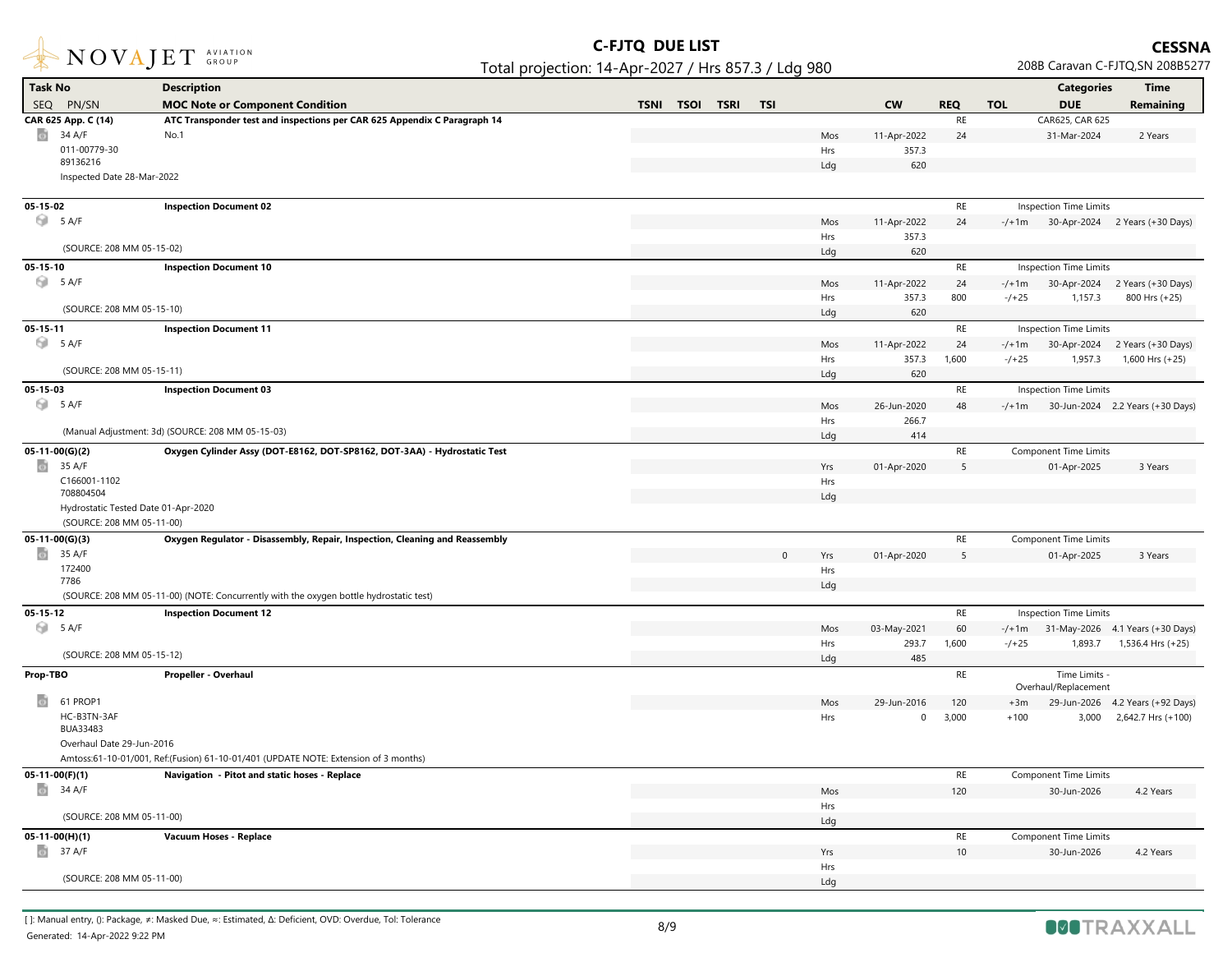

| <b>Task No</b>                      | <b>Description</b>                                                                     |                                           |              |            |                      |            |            | <b>Categories</b>             | <b>Time</b>                             |
|-------------------------------------|----------------------------------------------------------------------------------------|-------------------------------------------|--------------|------------|----------------------|------------|------------|-------------------------------|-----------------------------------------|
| SEQ PN/SN                           | <b>MOC Note or Component Condition</b>                                                 | <b>TSNI</b><br><b>TSOI</b><br><b>TSRI</b> | <b>TSI</b>   |            | <b>CW</b>            | <b>REQ</b> | <b>TOL</b> | <b>DUE</b>                    | Remaining                               |
| CAR 625 App. C (14)                 | ATC Transponder test and inspections per CAR 625 Appendix C Paragraph 14               |                                           |              |            |                      | RE         |            | CAR625, CAR 625               |                                         |
| 34 A/F<br>$\circ$                   | No.1                                                                                   |                                           |              | Mos        | 11-Apr-2022          | 24         |            | 31-Mar-2024                   | 2 Years                                 |
| 011-00779-30                        |                                                                                        |                                           |              | Hrs        | 357.3                |            |            |                               |                                         |
| 89136216                            |                                                                                        |                                           |              | Ldg        | 620                  |            |            |                               |                                         |
| Inspected Date 28-Mar-2022          |                                                                                        |                                           |              |            |                      |            |            |                               |                                         |
|                                     |                                                                                        |                                           |              |            |                      | RE         |            |                               |                                         |
| 05-15-02<br>5 A/F                   | <b>Inspection Document 02</b>                                                          |                                           |              |            |                      |            |            | Inspection Time Limits        |                                         |
|                                     |                                                                                        |                                           |              | Mos<br>Hrs | 11-Apr-2022<br>357.3 | 24         |            |                               | $-/-1$ m 30-Apr-2024 2 Years (+30 Days) |
| (SOURCE: 208 MM 05-15-02)           |                                                                                        |                                           |              | Ldg        | 620                  |            |            |                               |                                         |
| $05 - 15 - 10$                      | <b>Inspection Document 10</b>                                                          |                                           |              |            |                      | RE         |            | <b>Inspection Time Limits</b> |                                         |
| 5 A/F                               |                                                                                        |                                           |              | Mos        | 11-Apr-2022          | 24         | $-/+1m$    |                               | 30-Apr-2024 2 Years (+30 Days)          |
|                                     |                                                                                        |                                           |              | Hrs        | 357.3                | 800        | $-7+25$    | 1,157.3                       | 800 Hrs (+25)                           |
| (SOURCE: 208 MM 05-15-10)           |                                                                                        |                                           |              | Ldg        | 620                  |            |            |                               |                                         |
| $05 - 15 - 11$                      | <b>Inspection Document 11</b>                                                          |                                           |              |            |                      | <b>RE</b>  |            | Inspection Time Limits        |                                         |
| 5 A/F                               |                                                                                        |                                           |              | Mos        | 11-Apr-2022          | 24         | $-/-1m$    |                               | 30-Apr-2024 2 Years (+30 Days)          |
|                                     |                                                                                        |                                           |              | Hrs        | 357.3                | 1,600      | $-7+25$    | 1,957.3                       | 1,600 Hrs (+25)                         |
| (SOURCE: 208 MM 05-15-11)           |                                                                                        |                                           |              | Ldg        | 620                  |            |            |                               |                                         |
| 05-15-03                            | <b>Inspection Document 03</b>                                                          |                                           |              |            |                      | RE         |            | Inspection Time Limits        |                                         |
| 5 A/F                               |                                                                                        |                                           |              | Mos        | 26-Jun-2020          | 48         | $-/+1m$    |                               | 30-Jun-2024 2.2 Years (+30 Days)        |
|                                     |                                                                                        |                                           |              | Hrs        | 266.7                |            |            |                               |                                         |
|                                     | (Manual Adjustment: 3d) (SOURCE: 208 MM 05-15-03)                                      |                                           |              | Ldg        | 414                  |            |            |                               |                                         |
| $05-11-00(G)(2)$                    | Oxygen Cylinder Assy (DOT-E8162, DOT-SP8162, DOT-3AA) - Hydrostatic Test               |                                           |              |            |                      | $\sf RE$   |            | <b>Component Time Limits</b>  |                                         |
| ø<br>35 A/F                         |                                                                                        |                                           |              | Yrs        | 01-Apr-2020          | 5          |            | 01-Apr-2025                   | 3 Years                                 |
| C166001-1102                        |                                                                                        |                                           |              | Hrs        |                      |            |            |                               |                                         |
| 708804504                           |                                                                                        |                                           |              | Ldg        |                      |            |            |                               |                                         |
| Hydrostatic Tested Date 01-Apr-2020 |                                                                                        |                                           |              |            |                      |            |            |                               |                                         |
| (SOURCE: 208 MM 05-11-00)           |                                                                                        |                                           |              |            |                      |            |            |                               |                                         |
| $05-11-00(G)(3)$                    | Oxygen Regulator - Disassembly, Repair, Inspection, Cleaning and Reassembly            |                                           |              |            |                      | $\sf RE$   |            | <b>Component Time Limits</b>  |                                         |
| $\circ$<br>35 A/F<br>172400         |                                                                                        |                                           | $\mathbf{0}$ | Yrs        | 01-Apr-2020          | 5          |            | 01-Apr-2025                   | 3 Years                                 |
| 7786                                |                                                                                        |                                           |              | Hrs<br>Ldg |                      |            |            |                               |                                         |
|                                     | (SOURCE: 208 MM 05-11-00) (NOTE: Concurrently with the oxygen bottle hydrostatic test) |                                           |              |            |                      |            |            |                               |                                         |
| $05 - 15 - 12$                      | <b>Inspection Document 12</b>                                                          |                                           |              |            |                      | $\sf RE$   |            | Inspection Time Limits        |                                         |
| 5 A/F                               |                                                                                        |                                           |              | Mos        | 03-May-2021          | 60         | $-/-1m$    |                               | 31-May-2026 4.1 Years (+30 Days)        |
|                                     |                                                                                        |                                           |              | Hrs        | 293.7                | 1,600      | $-/-25$    | 1,893.7                       | 1,536.4 Hrs (+25)                       |
| (SOURCE: 208 MM 05-15-12)           |                                                                                        |                                           |              | Ldg        | 485                  |            |            |                               |                                         |
| Prop-TBO                            | Propeller - Overhaul                                                                   |                                           |              |            |                      | <b>RE</b>  |            | Time Limits -                 |                                         |
|                                     |                                                                                        |                                           |              |            |                      |            |            | Overhaul/Replacement          |                                         |
| 61 PROP1<br>G)                      |                                                                                        |                                           |              | Mos        | 29-Jun-2016          | 120        | $+3m$      |                               | 29-Jun-2026 4.2 Years (+92 Days)        |
| HC-B3TN-3AF<br>BUA33483             |                                                                                        |                                           |              | Hrs        | $\mathbf 0$          | 3,000      | $+100$     |                               | 3,000 2,642.7 Hrs (+100)                |
| Overhaul Date 29-Jun-2016           |                                                                                        |                                           |              |            |                      |            |            |                               |                                         |
|                                     | Amtoss:61-10-01/001, Ref:(Fusion) 61-10-01/401 (UPDATE NOTE: Extension of 3 months)    |                                           |              |            |                      |            |            |                               |                                         |
| $05-11-00(F)(1)$                    | Navigation - Pitot and static hoses - Replace                                          |                                           |              |            |                      | <b>RE</b>  |            | <b>Component Time Limits</b>  |                                         |
| $\frac{1}{2}$ 34 A/F                |                                                                                        |                                           |              | Mos        |                      | 120        |            | 30-Jun-2026                   | 4.2 Years                               |
|                                     |                                                                                        |                                           |              | Hrs        |                      |            |            |                               |                                         |
| (SOURCE: 208 MM 05-11-00)           |                                                                                        |                                           |              | Ldg        |                      |            |            |                               |                                         |
| 05-11-00(H)(1)                      | Vacuum Hoses - Replace                                                                 |                                           |              |            |                      | RE         |            | <b>Component Time Limits</b>  |                                         |
| 37 A/F<br>$\bullet$                 |                                                                                        |                                           |              | Yrs        |                      | 10         |            | 30-Jun-2026                   | 4.2 Years                               |
|                                     |                                                                                        |                                           |              | Hrs        |                      |            |            |                               |                                         |
| (SOURCE: 208 MM 05-11-00)           |                                                                                        |                                           |              | Ldg        |                      |            |            |                               |                                         |